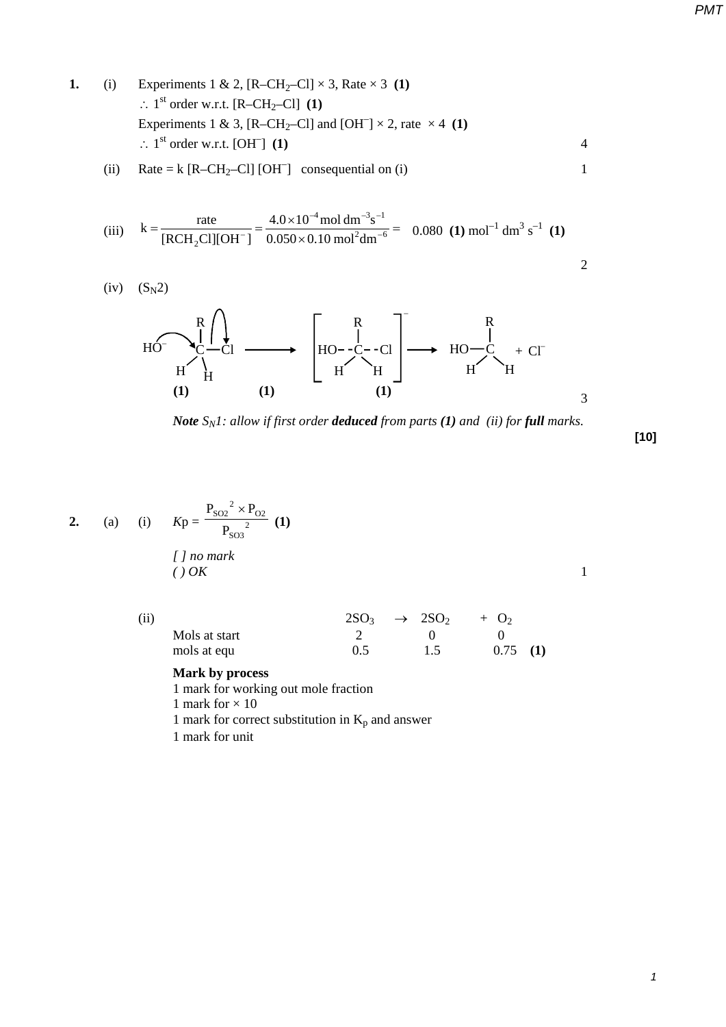- **1.** (i) Experiments 1 & 2,  $[R-CH_2-Cl] \times 3$ , Rate  $\times 3$  (1) ∴ 1<sup>st</sup> order w.r.t.  $[R-CH_2-Cl]$  (1) Experiments 1 & 3,  $[R-CH_2-Cl]$  and  $[OH^-] \times 2$ , rate  $\times 4$  (1) ∴ 1<sup>st</sup> order w.r.t. [OH<sup>-</sup>] (1) ] **(1)** 4
	- (ii) Rate = k  $[R-CH_2-Cl]$  [OH<sup>-</sup>] consequential on (i) 1

(iii) 
$$
k = {rate \over [RCH_2Cl][OH^-]} = {4.0 \times 10^{-4} \text{mol dm}^{-3} \text{s}^{-1} \over 0.050 \times 0.10 \text{ mol}^2 \text{dm}^{-6}} = 0.080 \text{ (1) mol}^{-1} \text{dm}^3 \text{s}^{-1}
$$
 (1)

 $(iv)$   $(S_N2)$ 



*Note*  $S_N$ *1: allow if first order <i>deduced from parts* (1) and (ii) for full marks.

**[10]**

2

2. (a) (i) 
$$
Kp = \frac{P_{SO2}^2 \times P_{O2}}{P_{SO3}^2}
$$
 (1)  
\n[ ] no mark  
\n( ) OK

| (ii)          | 2SO <sub>3</sub> | $\rightarrow$ 2SO <sub>2</sub> | $+$ O <sub>2</sub> |
|---------------|------------------|--------------------------------|--------------------|
| Mols at start |                  |                                |                    |
| mols at equ   | 0.5              | 1.5                            | $0.75$ (1)         |

### **Mark by process**

1 mark for working out mole fraction

1 mark for  $\times$  10

1 mark for correct substitution in  $K_p$  and answer

1 mark for unit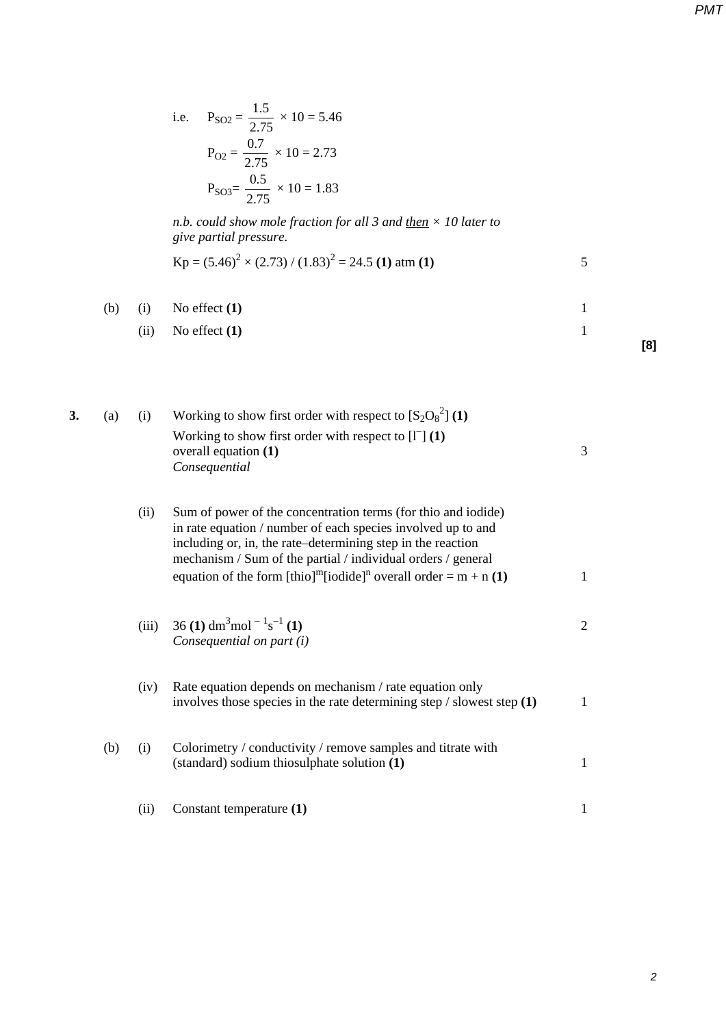i.e. 
$$
P_{SO2} = \frac{1.5}{2.75} \times 10 = 5.46
$$
  
\n $P_{O2} = \frac{0.7}{2.75} \times 10 = 2.73$   
\n $P_{SO3} = \frac{0.5}{2.75} \times 10 = 1.83$ 

*n.b. could show mole fraction for all 3 and then × 10 later to give partial pressure.*

$$
Kp = (5.46)^{2} \times (2.73) / (1.83)^{2} = 24.5 (1) atm (1)
$$

(b) (i) No effect **(1)** 1 (ii) No effect (1) 1 **[8]**

| 3. | (a) | (i)   | Working to show first order with respect to $[S_2O_8^2]$ (1)<br>Working to show first order with respect to $[I^{\dagger}](1)$<br>overall equation (1)<br>Consequential                                                                                                                                                                                  | 3              |
|----|-----|-------|----------------------------------------------------------------------------------------------------------------------------------------------------------------------------------------------------------------------------------------------------------------------------------------------------------------------------------------------------------|----------------|
|    |     | (ii)  | Sum of power of the concentration terms (for thio and iodide)<br>in rate equation / number of each species involved up to and<br>including or, in, the rate–determining step in the reaction<br>mechanism / Sum of the partial / individual orders / general<br>equation of the form [thio] <sup>m</sup> [iodide] <sup>n</sup> overall order = m + n (1) | 1              |
|    |     | (iii) | 36 (1) dm <sup>3</sup> mol <sup>-1</sup> s <sup>-1</sup> (1)<br>Consequential on part (i)                                                                                                                                                                                                                                                                | $\overline{2}$ |
|    |     | (iv)  | Rate equation depends on mechanism / rate equation only<br>involves those species in the rate determining step $\prime$ slowest step (1)                                                                                                                                                                                                                 | 1              |
|    | (b) | (i)   | Colorimetry / conductivity / remove samples and titrate with<br>(standard) sodium thiosulphate solution (1)                                                                                                                                                                                                                                              | 1              |
|    |     | (ii)  | Constant temperature (1)                                                                                                                                                                                                                                                                                                                                 | 1              |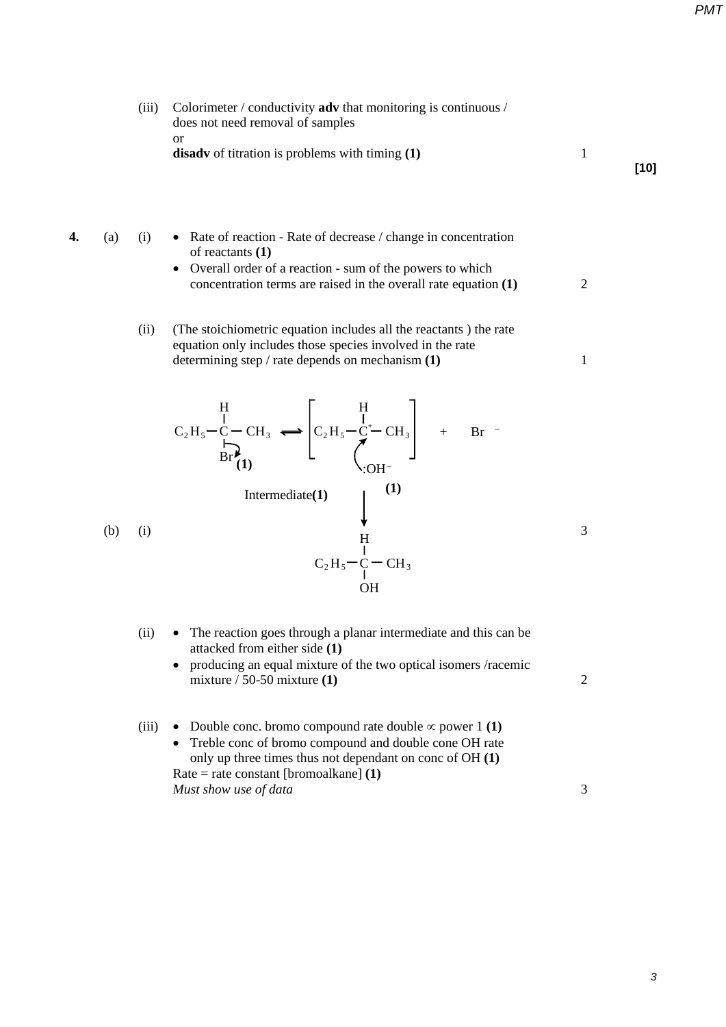**[10]**

**4.** (a) (i) • Rate of reaction - Rate of decrease / change in concentration

disadv of titration is problems with timing (1) 1

- of reactants **(1)** • Overall order of a reaction - sum of the powers to which concentration terms are raised in the overall rate equation **(1)** 2
- (ii) (The stoichiometric equation includes all the reactants ) the rate equation only includes those species involved in the rate determining step / rate depends on mechanism (1) 1

(iii) Colorimeter / conductivity **adv** that monitoring is continuous /

does not need removal of samples

or

$$
C_2H_5-C-CH_3 \longrightarrow \begin{bmatrix} H \\ I \\ C_2H_5-C-H_3 \\ H \\ (1) \end{bmatrix} + Br
$$
  
\n
$$
C_2H_5-C \longrightarrow CH_3
$$
  
\n
$$
C_2H_5-C-CH_3
$$
  
\n
$$
C_2H_5-C-CH_3
$$
  
\n
$$
C_2H_5-C
$$
  
\n
$$
C_2H_5-C
$$
  
\n
$$
C_2H_5-C
$$
  
\n
$$
C_2H_5-C
$$
  
\n
$$
C_2H_5-C
$$
  
\n
$$
C_2H_5-C
$$
  
\n
$$
C_2H_5-C-CH_3
$$

- (ii) The reaction goes through a planar intermediate and this can be attacked from either side **(1)** 
	- producing an equal mixture of the two optical isomers /racemic mixture / 50-50 mixture **(1)** 2

(iii) • Double conc. bromo compound rate double ∝ power 1 **(1)**

• Treble conc of bromo compound and double cone OH rate only up three times thus not dependant on conc of OH **(1)** Rate = rate constant [bromoalkane] **(1)** *Must show use of data* 3

3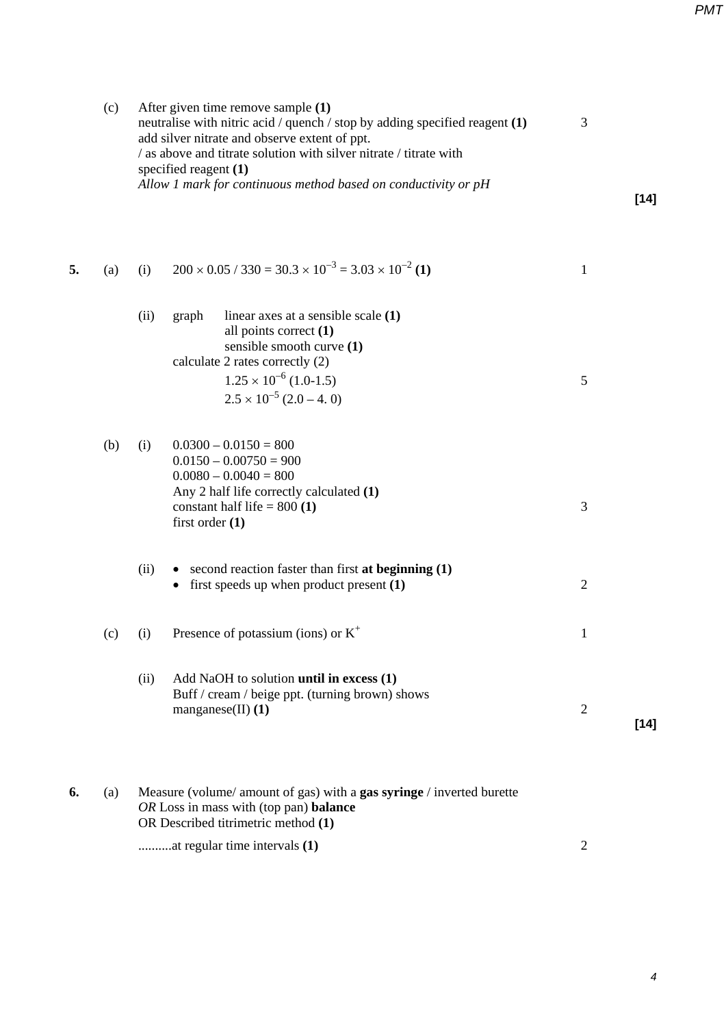|    |     |      | neutralise with nitric acid / quench / stop by adding specified reagent (1)<br>add silver nitrate and observe extent of ppt.<br>/ as above and titrate solution with silver nitrate / titrate with<br>specified reagent $(1)$<br>Allow 1 mark for continuous method based on conductivity or pH | 3              | $[14]$ |
|----|-----|------|-------------------------------------------------------------------------------------------------------------------------------------------------------------------------------------------------------------------------------------------------------------------------------------------------|----------------|--------|
| 5. | (a) | (i)  | $200 \times 0.05 / 330 = 30.3 \times 10^{-3} = 3.03 \times 10^{-2}$ (1)                                                                                                                                                                                                                         | $\mathbf{1}$   |        |
|    |     | (ii) | linear axes at a sensible scale $(1)$<br>graph<br>all points correct (1)<br>sensible smooth curve (1)<br>calculate 2 rates correctly (2)<br>$1.25 \times 10^{-6}$ (1.0-1.5)<br>$2.5 \times 10^{-5}$ (2.0 – 4.0)                                                                                 | 5              |        |
|    | (b) | (i)  | $0.0300 - 0.0150 = 800$<br>$0.0150 - 0.00750 = 900$<br>$0.0080 - 0.0040 = 800$<br>Any 2 half life correctly calculated (1)<br>constant half life = $800(1)$<br>first order $(1)$                                                                                                                | 3              |        |
|    |     | (ii) | $\bullet$ second reaction faster than first at beginning (1)<br>first speeds up when product present $(1)$<br>$\bullet$                                                                                                                                                                         | $\mathfrak{2}$ |        |
|    | (c) | (i)  | Presence of potassium (ions) or $K^+$                                                                                                                                                                                                                                                           | $\mathbf{1}$   |        |
|    |     | (ii) | Add NaOH to solution until in excess (1)<br>Buff / cream / beige ppt. (turning brown) shows<br>manganese(II) $(1)$                                                                                                                                                                              | $\overline{2}$ | $[14]$ |
| 6. | (a) |      | Measure (volume/ amount of gas) with a gas syringe / inverted burette<br>OR Loss in mass with (top pan) balance<br>OR Described titrimetric method (1)                                                                                                                                          |                |        |

..........at regular time intervals **(1)** 2

(c) After given time remove sample **(1)**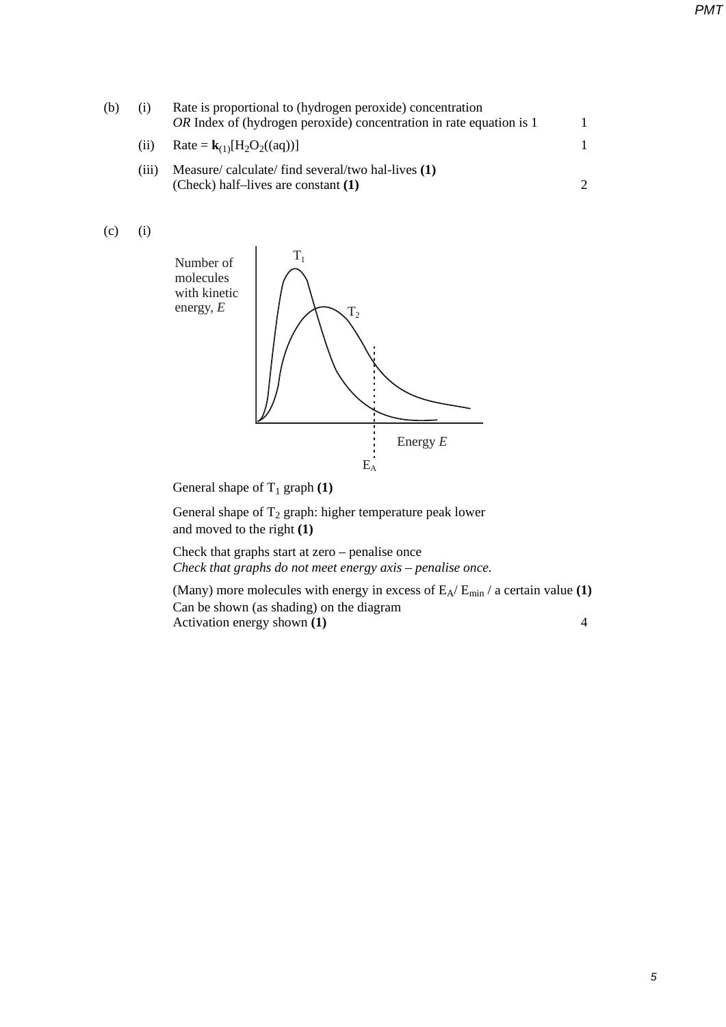| (b) | (i)   | Rate is proportional to (hydrogen peroxide) concentration<br><i>OR</i> Index of (hydrogen peroxide) concentration in rate equation is 1 |  |
|-----|-------|-----------------------------------------------------------------------------------------------------------------------------------------|--|
|     | (11)  | Rate = $\mathbf{k}_{(1)}[\text{H}_2\text{O}_2((aq))]$                                                                                   |  |
|     | (111) | Measure/ calculate/ find several/two hal-lives (1)<br>(Check) half-lives are constant $(1)$                                             |  |

(c) (i)



General shape of  $T_1$  graph  $(1)$ 

General shape of  $T_2$  graph: higher temperature peak lower and moved to the right **(1)**

Check that graphs start at zero – penalise once *Check that graphs do not meet energy axis – penalise once.*

(Many) more molecules with energy in excess of  $E_A/E_{min}$  / a certain value (1) Can be shown (as shading) on the diagram Activation energy shown **(1)** 4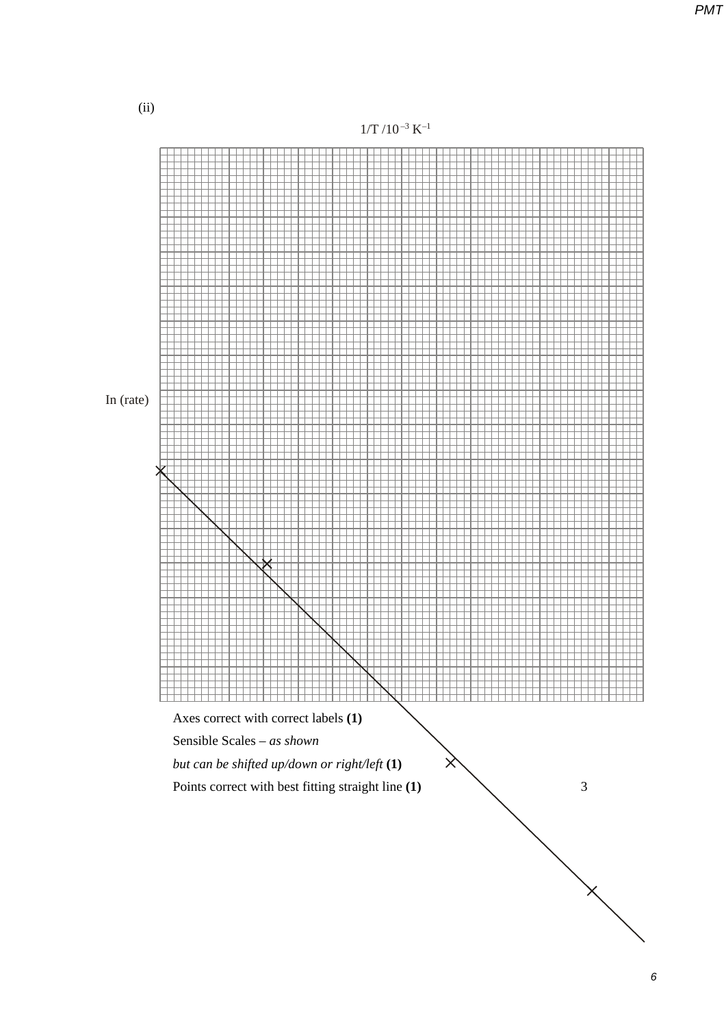$1/T / 10^{-3}$  K<sup>-1</sup>

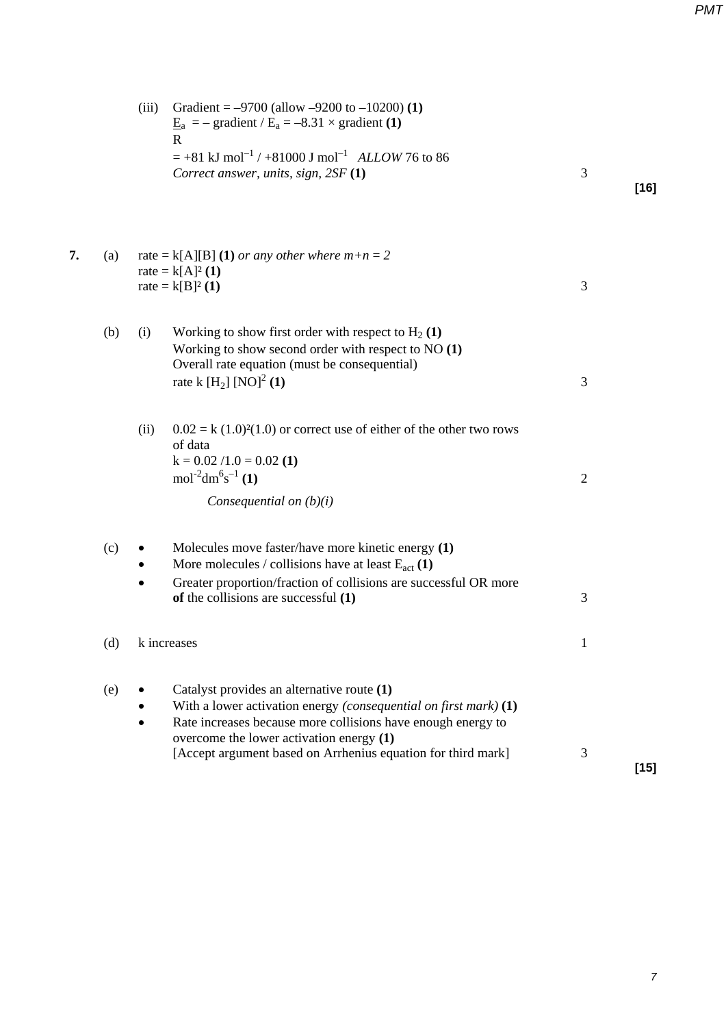|    |     | (iii) | Gradient = $-9700$ (allow $-9200$ to $-10200$ ) (1)<br>$\underline{E}_a$ = – gradient / $\underline{E}_a$ = –8.31 × gradient (1)<br>$\mathbf{R}$<br>$= +81$ kJ mol <sup>-1</sup> / +81000 J mol <sup>-1</sup> ALLOW 76 to 86<br>Correct answer, units, sign, 2SF (1)                         | 3              | $[16]$ |
|----|-----|-------|----------------------------------------------------------------------------------------------------------------------------------------------------------------------------------------------------------------------------------------------------------------------------------------------|----------------|--------|
| 7. | (a) |       | rate = $k[A][B](1)$ or any other where $m+n=2$<br>rate = $k[A]^2(1)$<br>rate = $k[B]^2$ (1)                                                                                                                                                                                                  | 3              |        |
|    | (b) | (i)   | Working to show first order with respect to $H_2(1)$<br>Working to show second order with respect to $NO(1)$<br>Overall rate equation (must be consequential)<br>rate k $[H_2] [NO]^2 (1)$                                                                                                   | 3              |        |
|    |     | (ii)  | $0.02 = k(1.0)^{2}(1.0)$ or correct use of either of the other two rows<br>of data<br>$k = 0.02 / 1.0 = 0.02$ (1)<br>$mol^{-2}dm^{6}s^{-1}$ (1)<br>Consequential on $(b)(i)$                                                                                                                 | $\overline{2}$ |        |
|    | (c) |       | Molecules move faster/have more kinetic energy (1)<br>More molecules / collisions have at least $E_{act}$ (1)<br>Greater proportion/fraction of collisions are successful OR more<br>of the collisions are successful $(1)$                                                                  | 3              |        |
|    | (d) |       | k increases                                                                                                                                                                                                                                                                                  | 1              |        |
|    | (e) |       | Catalyst provides an alternative route (1)<br>With a lower activation energy (consequential on first mark) $(1)$<br>Rate increases because more collisions have enough energy to<br>overcome the lower activation energy (1)<br>[Accept argument based on Arrhenius equation for third mark] | 3              |        |
|    |     |       |                                                                                                                                                                                                                                                                                              |                | $[15]$ |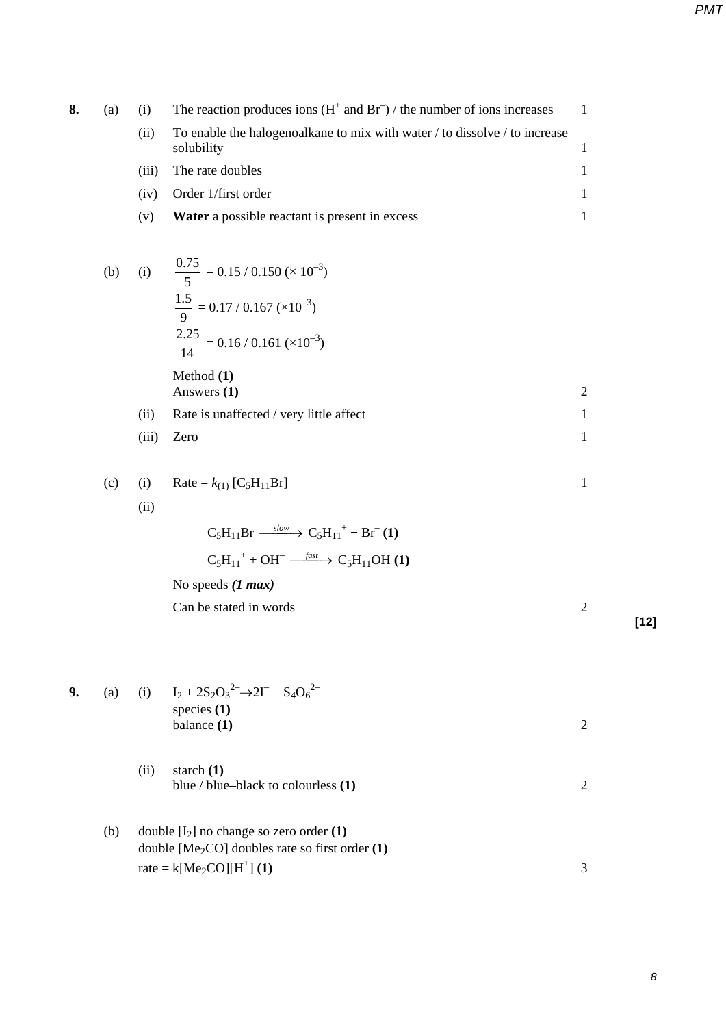|    |     | (ii)  | To enable the halogenoalkane to mix with water / to dissolve / to increase<br>solubility                | 1              |
|----|-----|-------|---------------------------------------------------------------------------------------------------------|----------------|
|    |     | (iii) | The rate doubles                                                                                        | 1              |
|    |     | (iv)  | Order 1/first order                                                                                     | 1              |
|    |     | (v)   | Water a possible reactant is present in excess                                                          | 1              |
|    | (b) |       | (i) $\frac{0.75}{5} = 0.15 / 0.150 \times 10^{-3}$                                                      |                |
|    |     |       | $\frac{1.5}{9} = 0.17 / 0.167 \, (\times 10^{-3})$<br>$\frac{2.25}{14} = 0.16 / 0.161 (\times 10^{-3})$ |                |
|    |     |       | Method $(1)$<br>Answers (1)                                                                             | $\overline{2}$ |
|    |     | (ii)  | Rate is unaffected / very little affect                                                                 | 1              |
|    |     | (iii) | Zero                                                                                                    | 1              |
|    | (c) | (i)   | Rate = $k_{(1)}$ [C <sub>5</sub> H <sub>11</sub> Br]                                                    | 1              |
|    |     | (ii)  |                                                                                                         |                |
|    |     |       | $C_5H_{11}Br \xrightarrow{slow} C_5H_{11}^+ + Br^{-}(1)$                                                |                |
|    |     |       | $C_5H_{11}^+$ + OH $\stackrel{fast}{\longrightarrow} C_5H_{11}OH$ (1)                                   |                |
|    |     |       | No speeds $(1 \text{ max})$                                                                             |                |
|    |     |       | Can be stated in words                                                                                  | 2              |
|    |     |       |                                                                                                         |                |
| 9. | (a) |       | (i) $I_2 + 2S_2O_3^{2-} \rightarrow 2I^- + S_4O_6^{2-}$<br>species $(1)$                                |                |
|    |     |       | balance (1)                                                                                             | $\overline{2}$ |
|    |     | (ii)  | starch $(1)$<br>blue / blue-black to colourless (1)                                                     | $\overline{2}$ |
|    | (b) |       | double $[I_2]$ no change so zero order $(1)$                                                            |                |
|    |     |       | double [ $Me2CO$ ] doubles rate so first order (1)                                                      |                |
|    |     |       | rate = $k[Me2CO][H+] (1)$                                                                               | 3              |

**8.** (a) (i) The reaction produces ions  $(H^+ \text{ and } Br^-)/$  the number of ions increases 1

**[12]**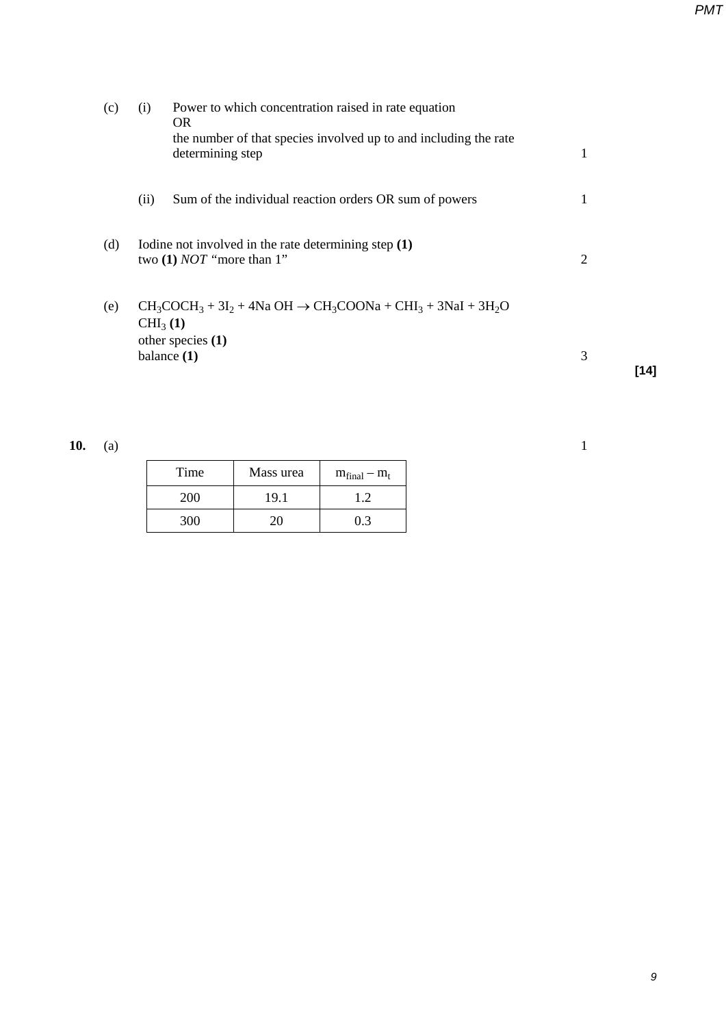| (c) | (i)                  | Power to which concentration raised in rate equation<br>OR.                           |   |
|-----|----------------------|---------------------------------------------------------------------------------------|---|
|     |                      | the number of that species involved up to and including the rate<br>determining step  | 1 |
|     | (ii)                 | Sum of the individual reaction orders OR sum of powers                                | 1 |
| (d) |                      | Iodine not involved in the rate determining step $(1)$<br>two $(1) NOT$ "more than 1" | 2 |
| (e) | CHI <sub>3</sub> (1) | $CH_3COCH_3 + 3I_2 + 4Na \tOH \rightarrow CH_3COONa + CHI_3 + 3NaI + 3H_2O$           |   |
|     |                      | other species $(1)$<br>balance $(1)$                                                  | 3 |

**10.** (a) 1

| Time       | Mass urea | $m_{final} - m_t$ |
|------------|-----------|-------------------|
| <b>200</b> | 19.1      | 12                |
| 300        |           | 03                |

**[14]**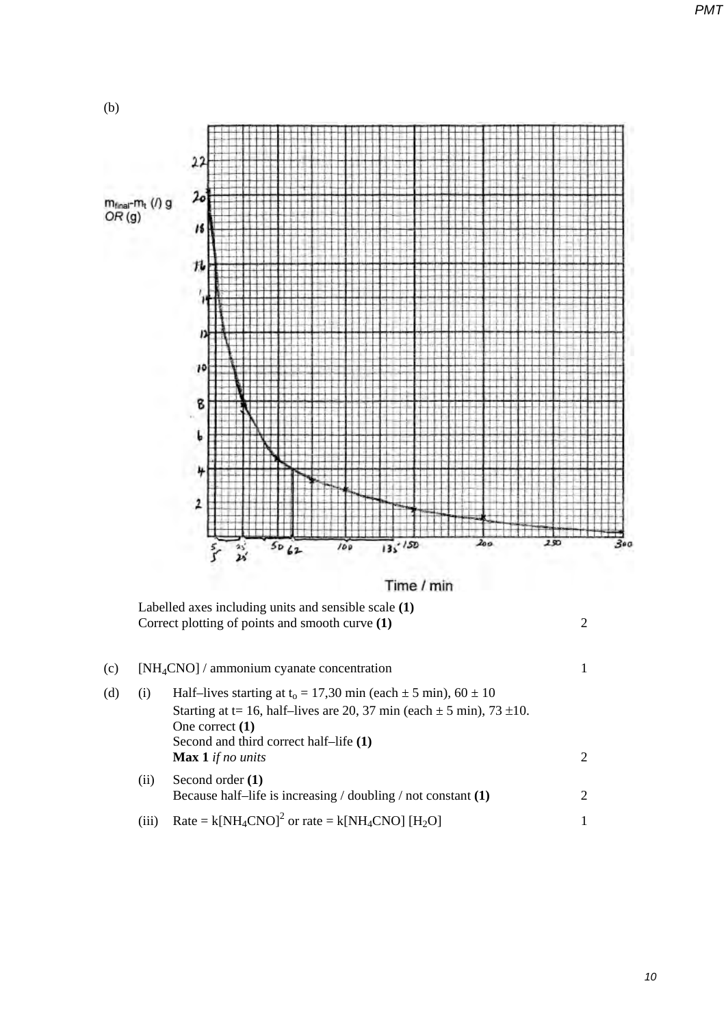

**Max 1** *if no units* 2 (ii) Second order **(1)**  Because half–life is increasing / doubling / not constant **(1)** 2

(iii) Rate = 
$$
k[NH_4CNO)^2
$$
 or rate =  $k[NH_4CNO]$  [H<sub>2</sub>O]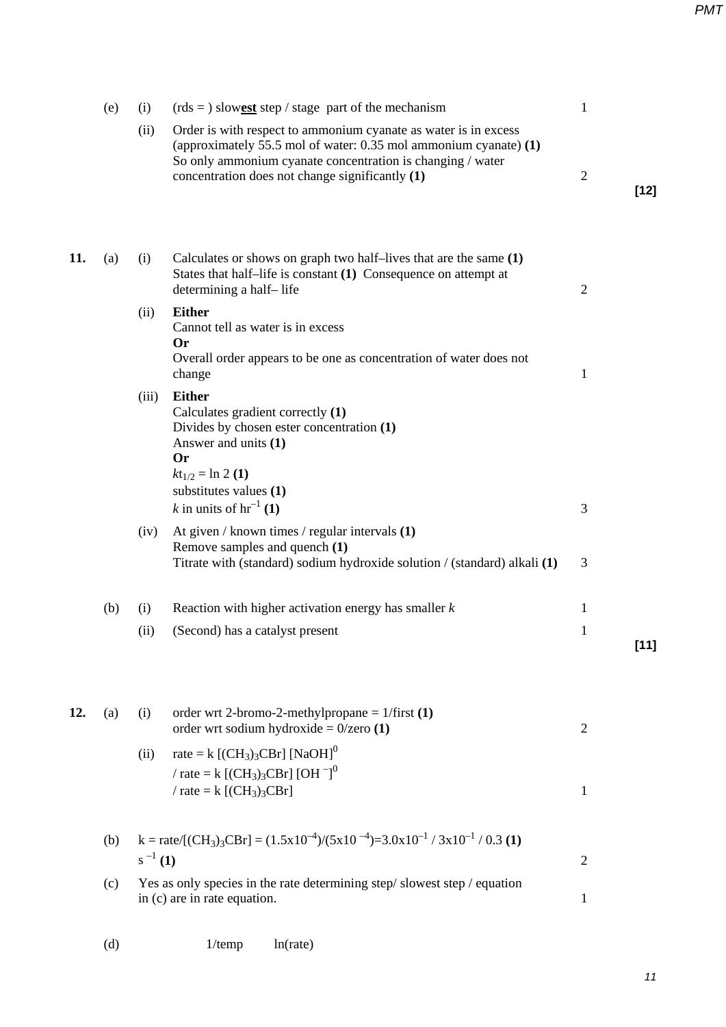|     | (e) | (i)         | $(rds = )$ slowest step / stage part of the mechanism                                                                                                                                                                                                    | $\mathbf{1}$   |        |
|-----|-----|-------------|----------------------------------------------------------------------------------------------------------------------------------------------------------------------------------------------------------------------------------------------------------|----------------|--------|
|     |     | (ii)        | Order is with respect to ammonium cyanate as water is in excess<br>(approximately 55.5 mol of water: $0.35$ mol ammonium cyanate) $(1)$<br>So only ammonium cyanate concentration is changing / water<br>concentration does not change significantly (1) | $\mathfrak{2}$ | $[12]$ |
| 11. | (a) | (i)         | Calculates or shows on graph two half-lives that are the same $(1)$<br>States that half-life is constant $(1)$ Consequence on attempt at<br>determining a half-life                                                                                      | $\mathbf{2}$   |        |
|     |     | (ii)        | <b>Either</b><br>Cannot tell as water is in excess<br><b>Or</b><br>Overall order appears to be one as concentration of water does not                                                                                                                    |                |        |
|     |     |             | change                                                                                                                                                                                                                                                   | $\mathbf{1}$   |        |
|     |     | (iii)       | <b>Either</b><br>Calculates gradient correctly (1)<br>Divides by chosen ester concentration (1)<br>Answer and units (1)<br><b>Or</b><br>$kt_{1/2} = \ln 2(1)$<br>substitutes values (1)<br>k in units of $hr^{-1}(1)$                                    | 3              |        |
|     |     | (iv)        | At given / known times / regular intervals $(1)$                                                                                                                                                                                                         |                |        |
|     |     |             | Remove samples and quench (1)<br>Titrate with (standard) sodium hydroxide solution / (standard) alkali $(1)$                                                                                                                                             | 3              |        |
|     | (b) | (i)         | Reaction with higher activation energy has smaller $k$                                                                                                                                                                                                   | $\mathbf{1}$   |        |
|     |     | (ii)        | (Second) has a catalyst present                                                                                                                                                                                                                          | 1              |        |
|     |     |             |                                                                                                                                                                                                                                                          |                | $[11]$ |
| 12. | (a) | (i)         | order wrt 2-bromo-2-methylpropane $= 1$ /first (1)<br>order wrt sodium hydroxide = $0$ /zero (1)                                                                                                                                                         | $\overline{2}$ |        |
|     |     | (ii)        | rate = $k$ [(CH <sub>3</sub> ) <sub>3</sub> CBr] [NaOH] <sup>0</sup>                                                                                                                                                                                     |                |        |
|     |     |             | / rate = k [(CH <sub>3</sub> ) <sub>3</sub> CBr] [OH <sup>-]<sup>0</sup></sup><br>/ rate = $k$ [(CH <sub>3</sub> ) <sub>3</sub> CBr]                                                                                                                     | $\mathbf{1}$   |        |
|     | (b) | $s^{-1}(1)$ | k = rate/[(CH <sub>3</sub> ) <sub>3</sub> CBr] = $(1.5x10^{-4})/(5x10^{-4})$ =3.0x10 <sup>-1</sup> /3x10 <sup>-1</sup> /0.3 (1)                                                                                                                          | $\overline{2}$ |        |
|     | (c) |             | Yes as only species in the rate determining step/slowest step/equation<br>in (c) are in rate equation.                                                                                                                                                   | $\mathbf{1}$   |        |
|     | (d) |             | ln(rate)<br>$1$ /temp                                                                                                                                                                                                                                    |                |        |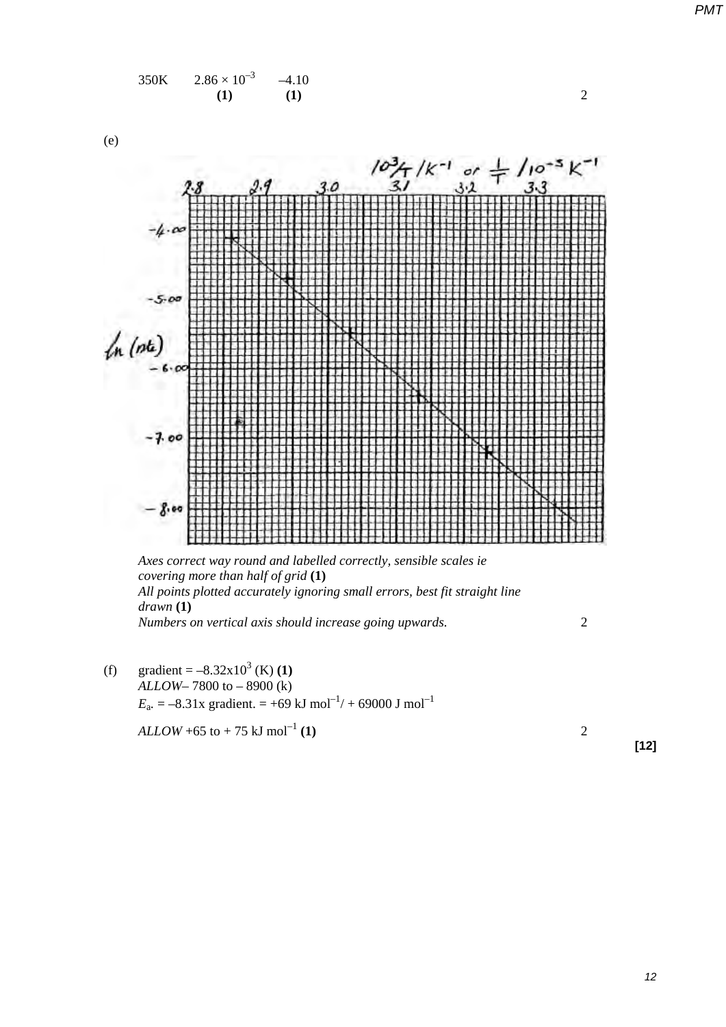



*Axes correct way round and labelled correctly, sensible scales ie covering more than half of grid* **(1)**  *All points plotted accurately ignoring small errors, best fit straight line drawn* **(1)**  *Numbers on vertical axis should increase going upwards.* 2

(f) gradient =  $-8.32 \times 10^3$  (K) (1)  $ALLOW-7800$  to  $-8900$  (k)  $E_{\text{a}} = -8.31x$  gradient. = +69 kJ mol<sup>-1</sup>/ + 69000 J mol<sup>-1</sup>

*ALLOW* +65 to + 75 kJ mol–1 **(1)** 2

**[12]**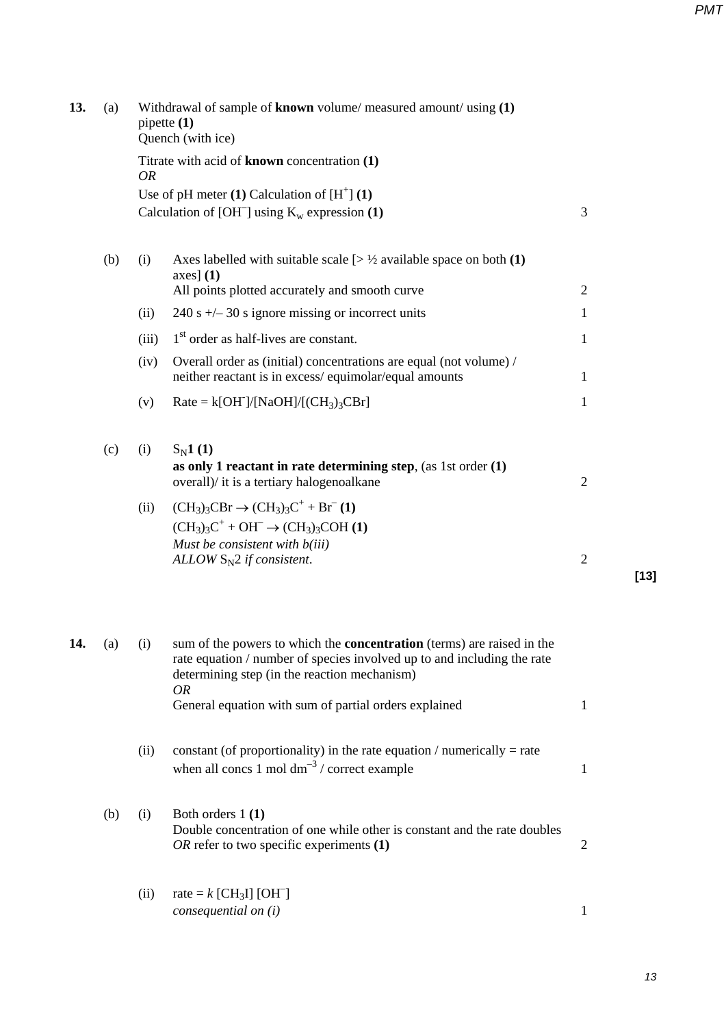| 13. | (a) | Withdrawal of sample of known volume/ measured amount/ using $(1)$<br>pipette $(1)$<br>Quench (with ice) |                                                                                                                                                                                                                                                                         |                |  |  |
|-----|-----|----------------------------------------------------------------------------------------------------------|-------------------------------------------------------------------------------------------------------------------------------------------------------------------------------------------------------------------------------------------------------------------------|----------------|--|--|
|     |     | OR                                                                                                       | Titrate with acid of known concentration (1)                                                                                                                                                                                                                            |                |  |  |
|     |     |                                                                                                          | Use of pH meter (1) Calculation of $[H^+] (1)$<br>Calculation of [OH <sup>-</sup> ] using $K_w$ expression (1)                                                                                                                                                          | 3              |  |  |
|     | (b) | (i)                                                                                                      | Axes labelled with suitable scale $\geq \frac{1}{2}$ available space on both (1)<br>$axes$ ] (1)<br>All points plotted accurately and smooth curve                                                                                                                      | $\overline{2}$ |  |  |
|     |     | (ii)                                                                                                     | 240 s $+/- 30$ s ignore missing or incorrect units                                                                                                                                                                                                                      | 1              |  |  |
|     |     | (iii)                                                                                                    | 1 <sup>st</sup> order as half-lives are constant.                                                                                                                                                                                                                       | 1              |  |  |
|     |     | (iv)                                                                                                     | Overall order as (initial) concentrations are equal (not volume) /<br>neither reactant is in excess/equimolar/equal amounts                                                                                                                                             | $\mathbf{1}$   |  |  |
|     |     | (v)                                                                                                      | $Rate = k[OH]/[NaOH]/[(CH3)3CBr]$                                                                                                                                                                                                                                       | 1              |  |  |
|     | (c) | (i)                                                                                                      | $S_{N}1(1)$<br>as only 1 reactant in rate determining step, (as 1st order $(1)$ )<br>overall)/ it is a tertiary halogenoalkane                                                                                                                                          | $\overline{2}$ |  |  |
|     |     | (ii)                                                                                                     | $(CH_3)_3CBr \rightarrow (CH_3)_3C^+ + Br^-(1)$<br>$(CH3)3C+ + OH- \rightarrow (CH3)3COH (1)$<br>Must be consistent with $b(iii)$<br>ALLOW $S_N2$ if consistent.                                                                                                        | $\overline{2}$ |  |  |
| 14. | (a) | (i)                                                                                                      | sum of the powers to which the <b>concentration</b> (terms) are raised in the<br>rate equation / number of species involved up to and including the rate<br>determining step (in the reaction mechanism)<br>OR<br>General equation with sum of partial orders explained | 1              |  |  |
|     |     | (ii)                                                                                                     | constant (of proportionality) in the rate equation / numerically $=$ rate<br>when all concs 1 mol $dm^{-3}$ / correct example                                                                                                                                           | 1              |  |  |
|     | (b) | (i)                                                                                                      | Both orders $1(1)$<br>Double concentration of one while other is constant and the rate doubles<br>OR refer to two specific experiments $(1)$                                                                                                                            | 2              |  |  |
|     |     | (ii)                                                                                                     | rate = $k$ [CH <sub>3</sub> I] [OH <sup>-</sup> ]<br>consequential on (i)                                                                                                                                                                                               | 1              |  |  |

**[13]**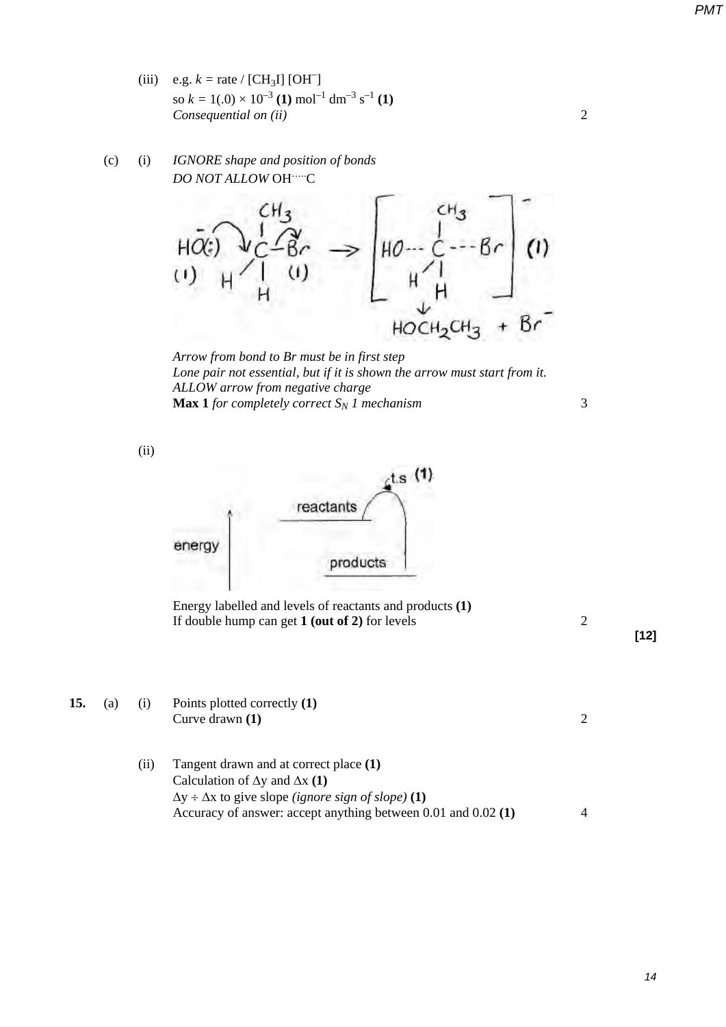- (iii) e.g.  $k = \text{rate} / [\text{CH}_3\text{I}] [\text{OH}^-]$ so  $k = 1(.0) \times 10^{-3}$  (1) mol<sup>-1</sup> dm<sup>-3</sup> s<sup>-1</sup> (1) *Consequential on (ii)* 2
- (c) (i) *IGNORE shape and position of bonds DO NOT ALLOW* OH…..C



*Arrow from bond to Br must be in first step Lone pair not essential, but if it is shown the arrow must start from it. ALLOW arrow from negative charge* **Max 1** *for completely correct*  $S_N$  *1 mechanism* 3

(ii)



Energy labelled and levels of reactants and products **(1)** If double hump can get **1 (out of 2)** for levels 2

**[12]**

**15.** (a) (i) Points plotted correctly **(1)**  Curve drawn **(1)** 2 (ii) Tangent drawn and at correct place **(1)**  Calculation of ∆y and ∆x **(1)** ∆y ÷ ∆x to give slope *(ignore sign of slope)* **(1)**  Accuracy of answer: accept anything between 0.01 and 0.02 **(1)** 4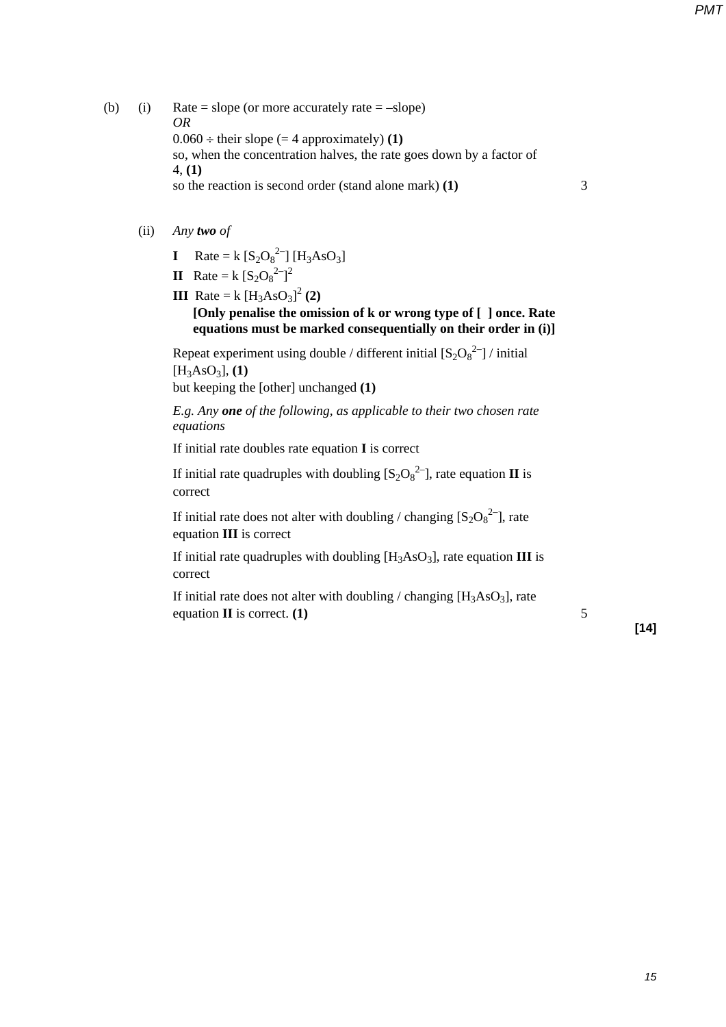(b) (i) Rate = slope (or more accurately rate =  $-slope$ ) *OR*  $0.060 \div$  their slope (= 4 approximately) (1) so, when the concentration halves, the rate goes down by a factor of 4, **(1)**  so the reaction is second order (stand alone mark) **(1)** 3

- (ii) *Any two of*
	- **I** Rate = k  $[S_2O_8^2]$  [H<sub>3</sub>AsO<sub>3</sub>]
	- **II** Rate = k  $[S_2O_8^{2-}]^2$
	- **III** Rate = k  $[H_3AsO_3]^2$  (2)

 **[Only penalise the omission of k or wrong type of [ ] once. Rate equations must be marked consequentially on their order in (i)]**

Repeat experiment using double / different initial  $[S_2O_8^{2-}]$  / initial  $[H_3AsO_3]$ , (1)

but keeping the [other] unchanged **(1)** 

*E.g. Any one of the following, as applicable to their two chosen rate equations*

If initial rate doubles rate equation **I** is correct

If initial rate quadruples with doubling  $[S_2O_8^2]$ , rate equation **II** is correct

If initial rate does not alter with doubling / changing  $[S_2O_8^2]$ , rate equation **III** is correct

If initial rate quadruples with doubling  $[H_3AsO_3]$ , rate equation **III** is correct

If initial rate does not alter with doubling / changing  $[H_3AsO_3]$ , rate equation  $\mathbf{II}$  is correct. **(1)**  $\qquad \qquad$ 5

**[14]**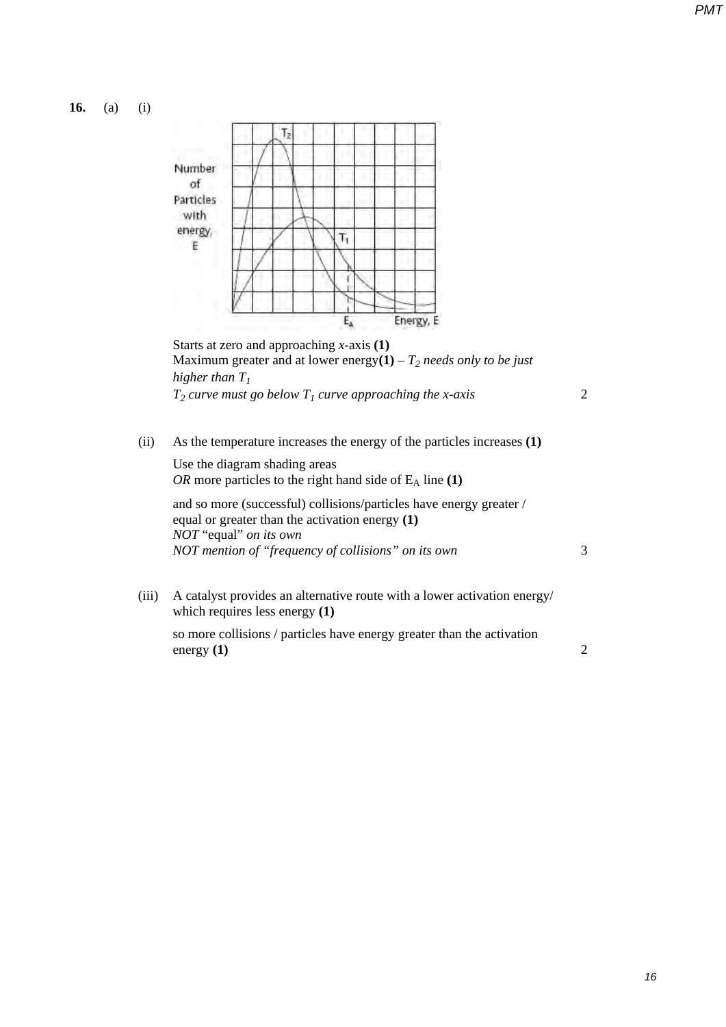**16.** (a) (i)



Starts at zero and approaching *x*-axis **(1)**  Maximum greater and at lower energy $(1)$  –  $T_2$  *needs only to be just higher than T1*  $T_2$  *curve must go below*  $T_1$  *curve approaching the x*-*axis* 2

(ii) As the temperature increases the energy of the particles increases **(1)**

Use the diagram shading areas *OR* more particles to the right hand side of  $E_A$  line **(1)** 

and so more (successful) collisions/particles have energy greater / equal or greater than the activation energy **(1)**  *NOT* "equal" *on its own NOT mention of "frequency of collisions" on its own* 3

(iii) A catalyst provides an alternative route with a lower activation energy/ which requires less energy **(1)**

so more collisions / particles have energy greater than the activation energy **(1)** 2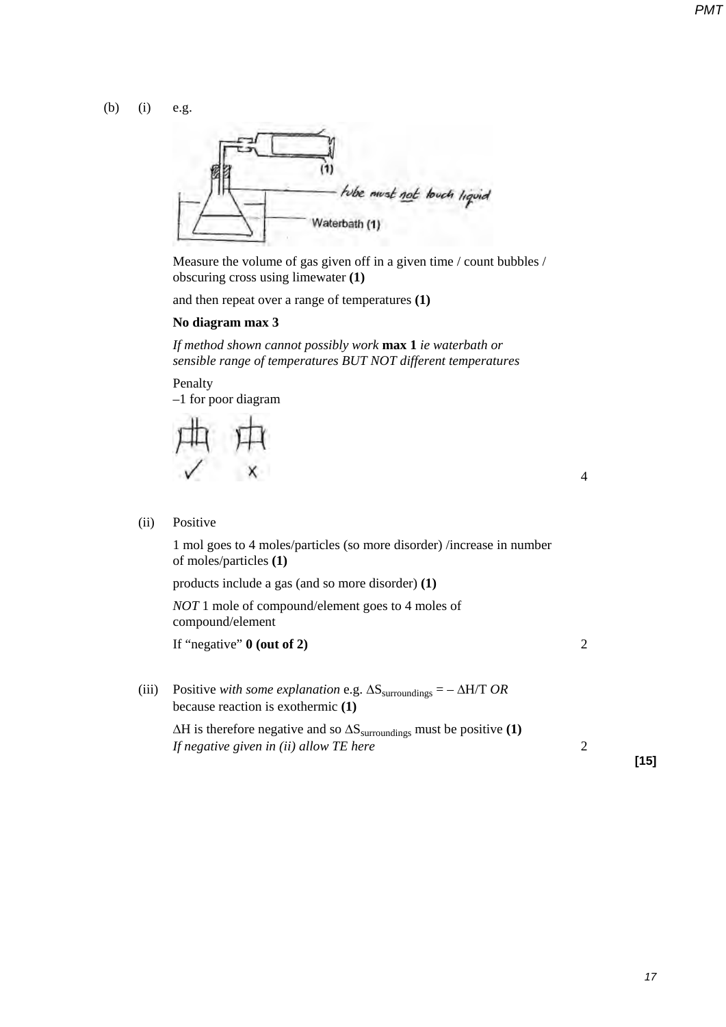(b) (i) e.g.



Measure the volume of gas given off in a given time / count bubbles / obscuring cross using limewater **(1)**

and then repeat over a range of temperatures **(1)**

### **No diagram max 3**

*If method shown cannot possibly work* **max 1** *ie waterbath or sensible range of temperatures BUT NOT different temperatures*

Penalty –1 for poor diagram



(ii) Positive

1 mol goes to 4 moles/particles (so more disorder) /increase in number of moles/particles **(1)**

products include a gas (and so more disorder) **(1)**

*NOT* 1 mole of compound/element goes to 4 moles of compound/element

If "negative" **0 (out of 2)** 2

(iii) Positive *with some explanation* e.g.  $\Delta S_{\text{surroundings}} = -\Delta H/T$  *OR* because reaction is exothermic **(1)**

∆H is therefore negative and so ∆Ssurroundings must be positive **(1)**  *If negative given in (ii) allow TE here* 2

**[15]**

4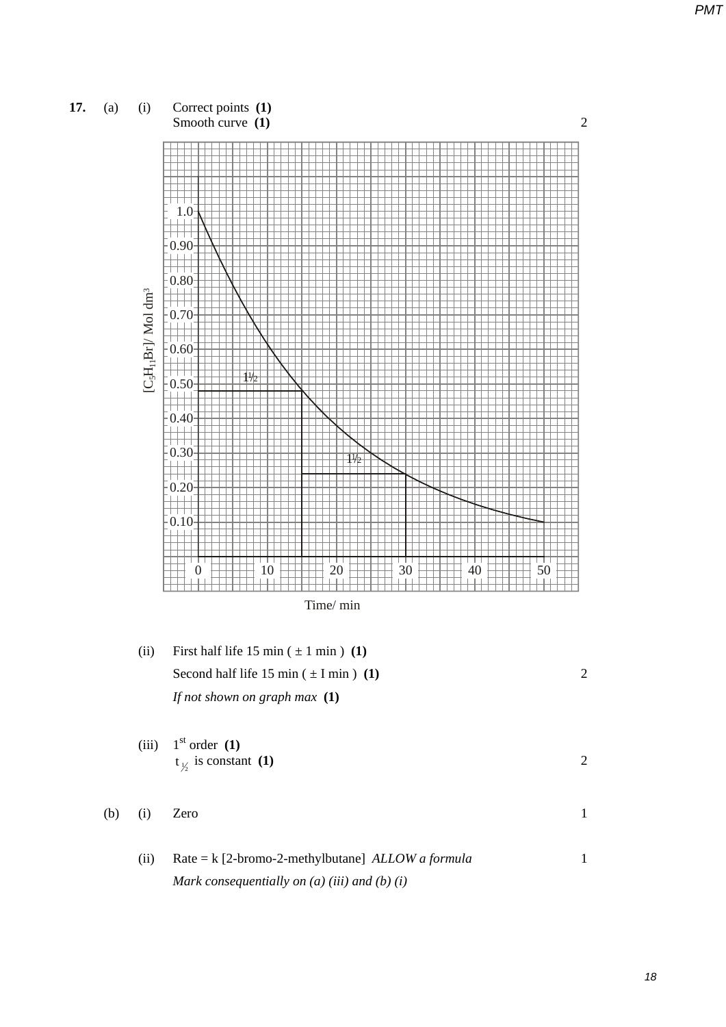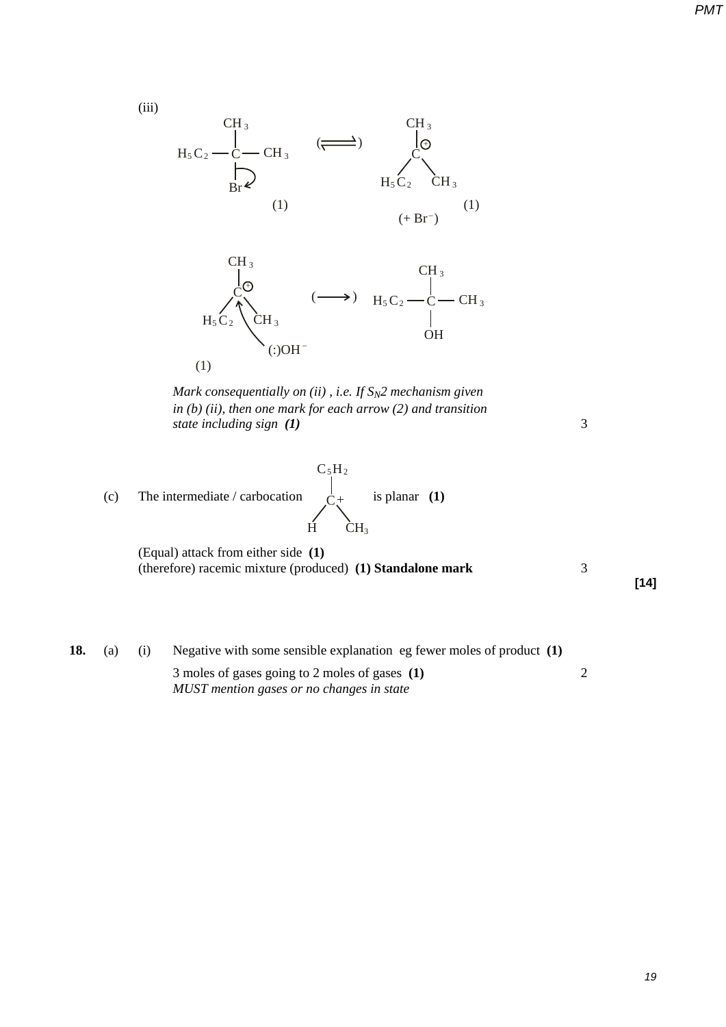

*Mark consequentially on (ii), i.e. If*  $S_N$ 2 mechanism given *in (b) (ii), then one mark for each arrow (2) and transition state including sign (1)* 3

(c) The intermediate / carbocation 
$$
\begin{array}{c}\nC_5H_2 \\
\downarrow \\
C_+ \\
H\n\end{array}
$$
 is planar (1)

(1)

(Equal) attack from either side **(1)** (therefore) racemic mixture (produced) **(1) Standalone mark** 3

**[14]**

| 18. | (a) | (1) | Negative with some sensible explanation eg fewer moles of product (1) |  |
|-----|-----|-----|-----------------------------------------------------------------------|--|
|     |     |     | 3 moles of gases going to 2 moles of gases (1)                        |  |
|     |     |     | MUST mention gases or no changes in state                             |  |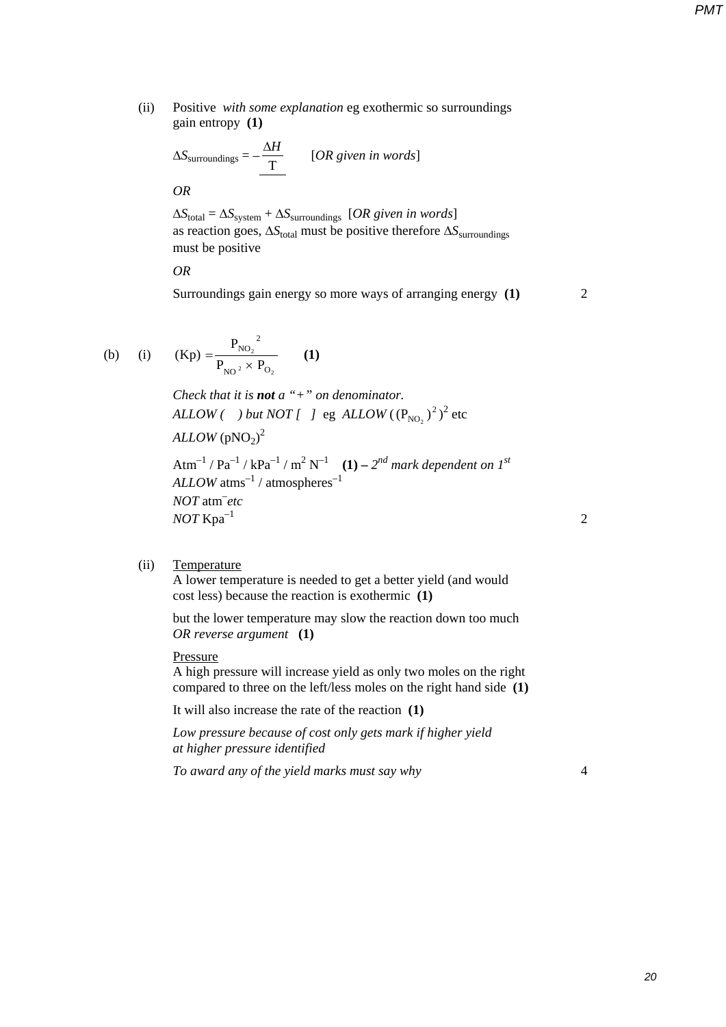(ii) Positive *with some explanation* eg exothermic so surroundings gain entropy **(1)**

$$
\Delta S_{\text{surroundings}} = -\frac{\Delta H}{T} \qquad [OR \text{ given in words}]
$$

*OR*

 $\Delta S$ <sub>system</sub> +  $\Delta S$ <sub>surroundings</sub> [*OR given in words*] as reaction goes, ∆*S*total must be positive therefore ∆*S*surroundings must be positive

*OR*

Surroundings gain energy so more ways of arranging energy **(1)** 2

(b) (i) 
$$
(\text{Kp}) = \frac{P_{\text{NO}_2}^2}{P_{\text{NO}^2} \times P_{\text{O}_2}}
$$
 (1)

*Check that it is not a "+" on denominator.*  $ALLOW$  ( ) but NOT [ ] eg  $ALLOW$  ( $(P_{NO_2})^2$ )<sup>2</sup> etc  $ALLOW$   $(pNO_2)^2$ Atm<sup>-1</sup> / Pa<sup>-1</sup> / kPa<sup>-1</sup> / m<sup>2</sup> N<sup>-1</sup> (1) –  $2^{nd}$  mark dependent on 1<sup>st</sup> *ALLOW* atms–1 / atmospheres–1 *NOT* atm– *etc*  $NOT$  Kpa<sup>-1</sup> 2

(ii) Temperature

A lower temperature is needed to get a better yield (and would cost less) because the reaction is exothermic **(1)**

but the lower temperature may slow the reaction down too much *OR reverse argument* **(1)**

Pressure

A high pressure will increase yield as only two moles on the right compared to three on the left/less moles on the right hand side **(1)**

It will also increase the rate of the reaction **(1)**

*Low pressure because of cost only gets mark if higher yield at higher pressure identified*

*To award any of the yield marks must say why* 4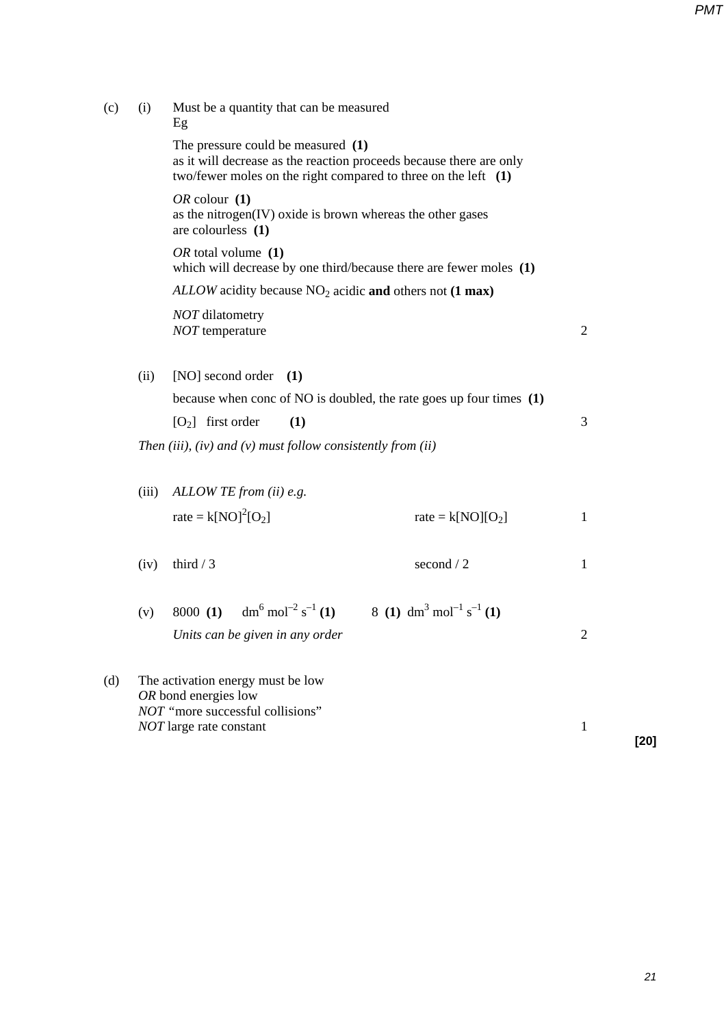| (c) | (i)                                                         | Must be a quantity that can be measured<br>Eg                                                                                                                                 |                     |              |  |  |  |  |
|-----|-------------------------------------------------------------|-------------------------------------------------------------------------------------------------------------------------------------------------------------------------------|---------------------|--------------|--|--|--|--|
|     |                                                             | The pressure could be measured (1)<br>as it will decrease as the reaction proceeds because there are only<br>two/fewer moles on the right compared to three on the left $(1)$ |                     |              |  |  |  |  |
|     |                                                             | OR colour $(1)$<br>as the nitrogen $(IV)$ oxide is brown whereas the other gases<br>are colourless $(1)$                                                                      |                     |              |  |  |  |  |
|     |                                                             | OR total volume $(1)$<br>which will decrease by one third/because there are fewer moles (1)                                                                                   |                     |              |  |  |  |  |
|     |                                                             | ALLOW acidity because $NO2$ acidic and others not (1 max)                                                                                                                     |                     |              |  |  |  |  |
|     |                                                             | <b>NOT</b> dilatometry<br>NOT temperature                                                                                                                                     |                     |              |  |  |  |  |
|     | (ii)                                                        | [NO] second order<br>(1)                                                                                                                                                      |                     |              |  |  |  |  |
|     |                                                             | because when conc of NO is doubled, the rate goes up four times $(1)$                                                                                                         |                     |              |  |  |  |  |
|     |                                                             | $[O2]$ first order<br>(1)                                                                                                                                                     |                     | 3            |  |  |  |  |
|     | Then (iii), (iv) and (v) must follow consistently from (ii) |                                                                                                                                                                               |                     |              |  |  |  |  |
|     | (iii)                                                       | ALLOW TE from (ii) e.g.                                                                                                                                                       |                     |              |  |  |  |  |
|     |                                                             | rate = $k[NO]^2[O_2]$                                                                                                                                                         | rate = $k[NO][O_2]$ | $\mathbf{1}$ |  |  |  |  |
|     | (iv)                                                        | third $/3$                                                                                                                                                                    | second $/2$         | $\mathbf{1}$ |  |  |  |  |
|     | (v)                                                         | $dm^6$ mol <sup>-2</sup> s <sup>-1</sup> (1) 8 (1) dm <sup>3</sup> mol <sup>-1</sup> s <sup>-1</sup> (1)<br>8000 (1)<br>Units can be given in any order                       |                     | 2            |  |  |  |  |
| (d) |                                                             | The activation energy must be low<br>OR bond energies low<br>NOT "more successful collisions"                                                                                 |                     |              |  |  |  |  |
|     |                                                             | <i>NOT</i> large rate constant                                                                                                                                                |                     | 1            |  |  |  |  |

*21*

**[20]**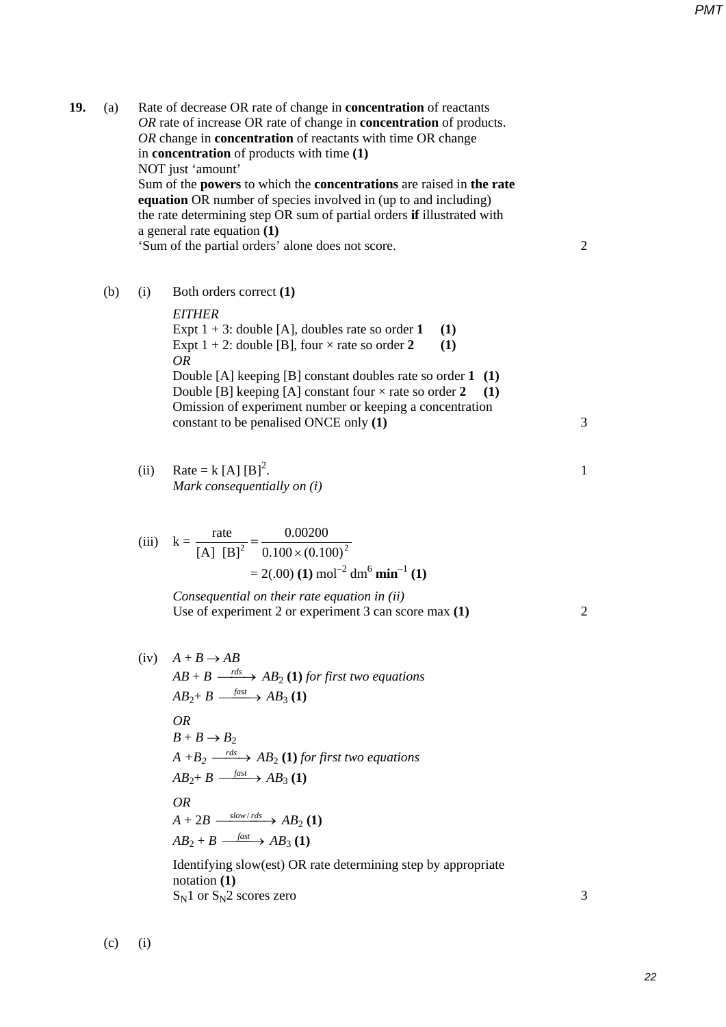**19.** (a) Rate of decrease OR rate of change in **concentration** of reactants *OR* rate of increase OR rate of change in **concentration** of products. *OR* change in **concentration** of reactants with time OR change in **concentration** of products with time **(1)** NOT just 'amount' Sum of the **powers** to which the **concentrations** are raised in **the rate equation** OR number of species involved in (up to and including) the rate determining step OR sum of partial orders **if** illustrated with a general rate equation **(1)** 'Sum of the partial orders' alone does not score. 2

## (b) (i) Both orders correct **(1)**

*EITHER* Expt  $1 + 3$ : double [A], doubles rate so order **1** (1) Expt  $1 + 2$ : double [B], four  $\times$  rate so order 2 (1) *OR* Double [A] keeping [B] constant doubles rate so order **1 (1)**  Double [B] keeping [A] constant four  $\times$  rate so order 2 (1) Omission of experiment number or keeping a concentration constant to be penalised ONCE only **(1)** 3

(ii) Rate = k [A] 
$$
[B]^2
$$
.  
Mark consequently on (i) 1

(iii) 
$$
k = {\text{rate} \over [A] [B]^2} = {0.00200 \over 0.100 \times (0.100)^2}
$$
  
= 2(.00) (1) mol<sup>-2</sup> dm<sup>6</sup> min<sup>-1</sup> (1)

*Consequential on their rate equation in (ii)* Use of experiment 2 or experiment 3 can score max **(1)** 2

(iv) 
$$
A + B \rightarrow AB
$$
  
\n $AB + B \xrightarrow{rds} AB_2$  (1) for first two equations  
\n $AB_2 + B \xrightarrow{fast} AB_3$  (1)  
\nOR  
\n $B + B \rightarrow B_2$   
\n $A + B_2 \xrightarrow{rds} AB_2$  (1) for first two equations  
\n $AB_2 + B \xrightarrow{fast} AB_3$  (1)  
\nOR  
\n $A + 2B \xrightarrow{slow/rds} AB_2$  (1)  
\n $AB_2 + B \xrightarrow{fast} AB_3$  (1)  
\nIdentifying slow (est) OR rate determining step by appropriate notation (1)  
\n $S_N1$  or  $S_N2$  scores zero

 $(c)$  (i)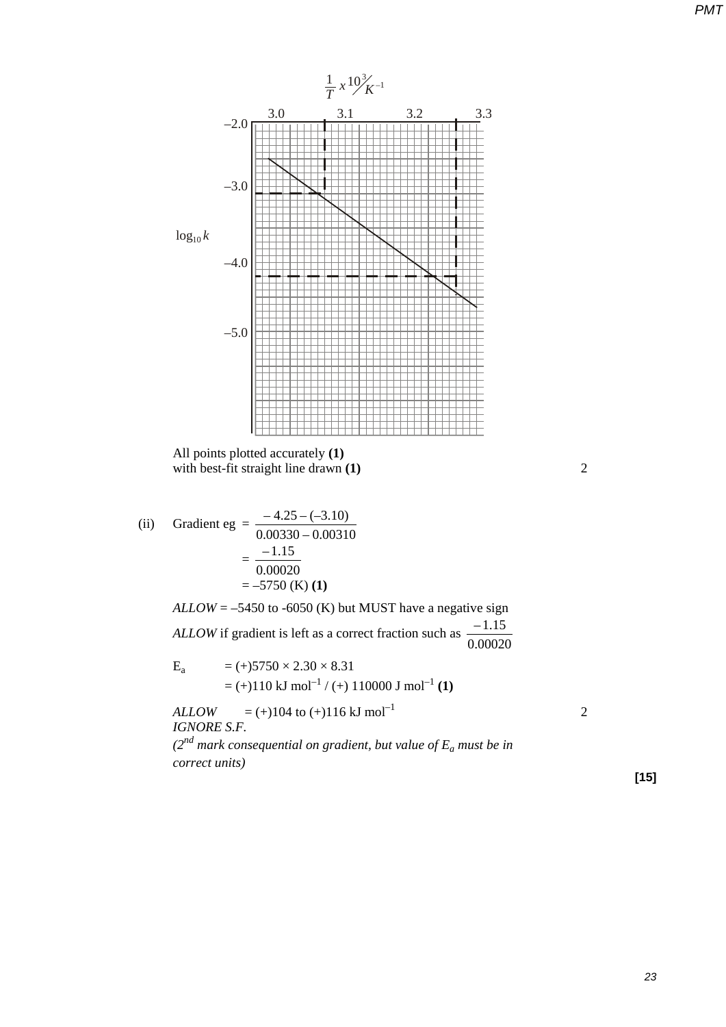

 $(2<sup>nd</sup>$  *mark consequential on gradient, but value of*  $E_a$  *must be in correct units)*

**[15]**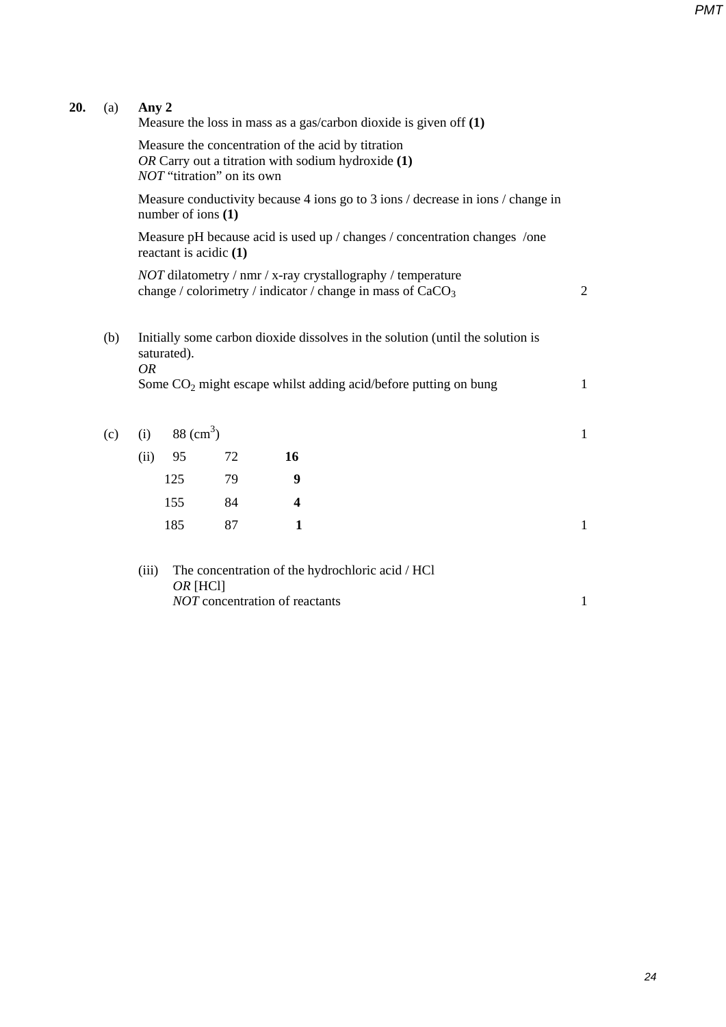| 20. | (a) | Any 2<br>Measure the loss in mass as a gas/carbon dioxide is given off $(1)$<br>Measure the concentration of the acid by titration<br>OR Carry out a titration with sodium hydroxide $(1)$<br><i>NOT</i> "titration" on its own |                                                                                                         |                                |                  |                                                                                                                                    |                |  |  |
|-----|-----|---------------------------------------------------------------------------------------------------------------------------------------------------------------------------------------------------------------------------------|---------------------------------------------------------------------------------------------------------|--------------------------------|------------------|------------------------------------------------------------------------------------------------------------------------------------|----------------|--|--|
|     |     |                                                                                                                                                                                                                                 |                                                                                                         |                                |                  |                                                                                                                                    |                |  |  |
|     |     |                                                                                                                                                                                                                                 | Measure conductivity because 4 ions go to 3 ions / decrease in ions / change in<br>number of ions $(1)$ |                                |                  |                                                                                                                                    |                |  |  |
|     |     | Measure pH because acid is used up / changes / concentration changes /one<br>reactant is acidic (1)                                                                                                                             |                                                                                                         |                                |                  |                                                                                                                                    |                |  |  |
|     |     |                                                                                                                                                                                                                                 |                                                                                                         |                                |                  | <i>NOT</i> dilatometry / nmr / x-ray crystallography / temperature<br>change / colorimetry / indicator / change in mass of $CaCO3$ | $\overline{2}$ |  |  |
|     | (b) | Initially some carbon dioxide dissolves in the solution (until the solution is<br>saturated).<br><b>OR</b><br>Some $CO2$ might escape whilst adding acid/before putting on bung                                                 |                                                                                                         |                                |                  |                                                                                                                                    |                |  |  |
|     | (c) | (i)                                                                                                                                                                                                                             | $88 \text{ (cm}^3)$                                                                                     |                                |                  |                                                                                                                                    | $\mathbf{1}$   |  |  |
|     |     | (ii)                                                                                                                                                                                                                            | 95                                                                                                      | 72                             | 16               |                                                                                                                                    |                |  |  |
|     |     |                                                                                                                                                                                                                                 | 125                                                                                                     | 79                             | 9                |                                                                                                                                    |                |  |  |
|     |     |                                                                                                                                                                                                                                 | 155                                                                                                     | 84                             | $\boldsymbol{4}$ |                                                                                                                                    |                |  |  |
|     |     |                                                                                                                                                                                                                                 | 185                                                                                                     | 87                             | $\mathbf{1}$     |                                                                                                                                    | $\mathbf{1}$   |  |  |
|     |     | (iii)                                                                                                                                                                                                                           | $OR$ [HCl]                                                                                              | NOT concentration of reactants |                  | The concentration of the hydrochloric acid / HCl                                                                                   | $\mathbf{1}$   |  |  |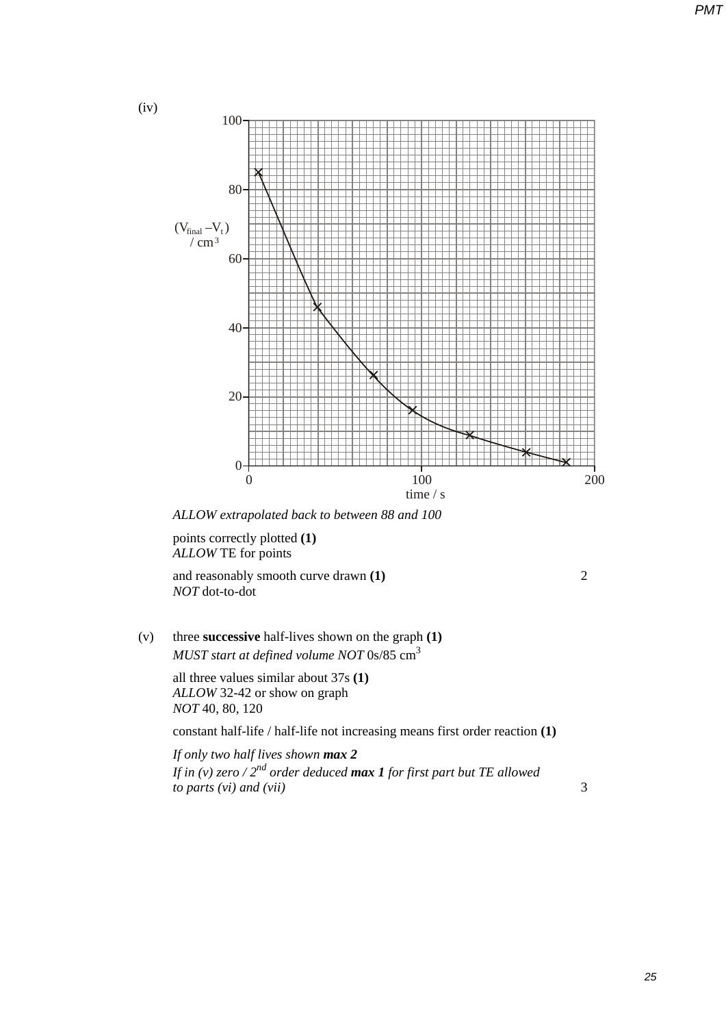

*ALLOW extrapolated back to between 88 and 100*

points correctly plotted **(1)** *ALLOW* TE for points

and reasonably smooth curve drawn **(1)** 2 *NOT* dot-to-dot

(v) three **successive** half-lives shown on the graph **(1)**  *MUST start at defined volume NOT* 0s/85 cm3

> all three values similar about 37s **(1)**  *ALLOW* 32-42 or show on graph *NOT* 40, 80, 120

constant half-life / half-life not increasing means first order reaction **(1)**

*If only two half lives shown max 2 If in (v) zero / 2nd order deduced max 1 for first part but TE allowed to parts (vi) and (vii)* 3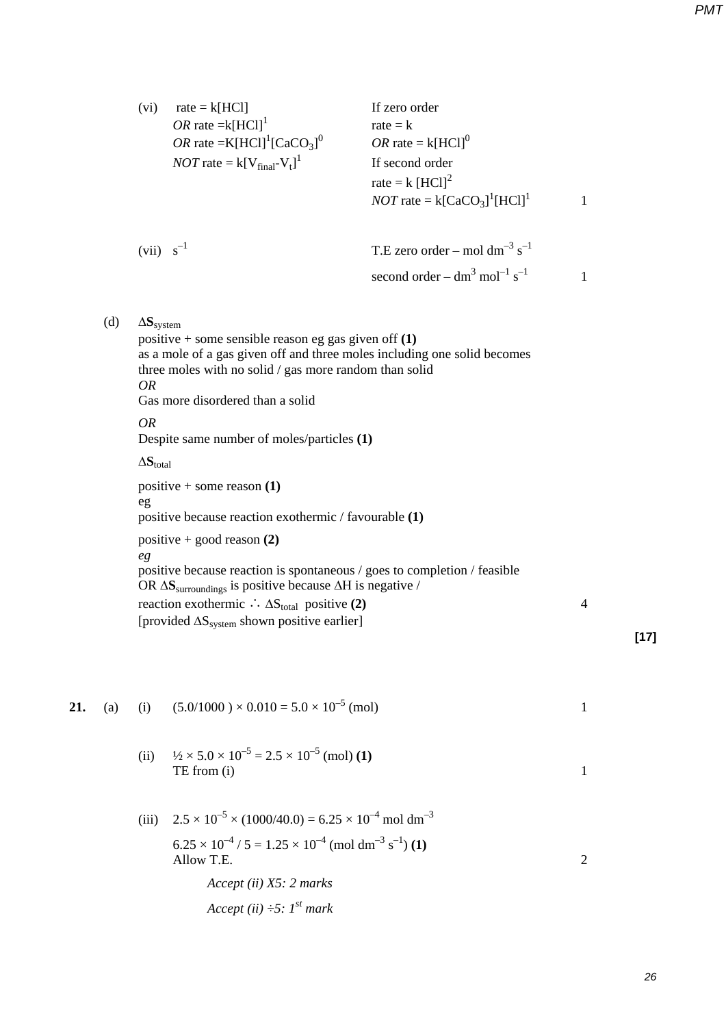| (vi)<br>rate = $k[HCl]$<br><i>OR</i> rate = $k[HCI]$ <sup>1</sup><br><i>OR</i> rate = $K[HCl]$ <sup>1</sup> [CaCO <sub>3</sub> ] <sup>0</sup><br><i>NOT</i> rate = $k[V_{final}-V_t]^T$                                                                                                                                                                      | If zero order<br>$rate = k$<br><i>OR</i> rate = $k[HCI]$ <sup>0</sup><br>If second order<br>rate = $k$ [HCl] <sup>2</sup><br>$NOT$ rate = $k[CaCO3]1[HCl]1$ | 1            |
|--------------------------------------------------------------------------------------------------------------------------------------------------------------------------------------------------------------------------------------------------------------------------------------------------------------------------------------------------------------|-------------------------------------------------------------------------------------------------------------------------------------------------------------|--------------|
| $(vii) s^{-1}$                                                                                                                                                                                                                                                                                                                                               | T.E zero order – mol dm <sup>-3</sup> s <sup>-1</sup>                                                                                                       |              |
|                                                                                                                                                                                                                                                                                                                                                              | second order – dm <sup>3</sup> mol <sup>-1</sup> s <sup>-1</sup>                                                                                            | $\mathbf{1}$ |
| $\Delta S_{\text{system}}$<br>positive + some sensible reason eg gas given off $(1)$<br>as a mole of a gas given off and three moles including one solid becomes<br>three moles with no solid / gas more random than solid<br>OR<br>Gas more disordered than a solid<br><i>OR</i><br>Despite same number of moles/particles (1)<br>$\Delta S_{\text{total}}$ |                                                                                                                                                             |              |
| positive + some reason $(1)$<br>eg<br>positive because reaction exothermic / favourable (1)                                                                                                                                                                                                                                                                  |                                                                                                                                                             |              |
| positive + good reason $(2)$<br>eg<br>positive because reaction is spontaneous / goes to completion / feasible<br>OR $\Delta S_{surroundings}$ is positive because $\Delta H$ is negative /<br>reaction exothermic $\therefore$ $\Delta S_{total}$ positive (2)<br>[provided $\Delta S_{system}$ shown positive earlier]                                     |                                                                                                                                                             | 4            |

(d) **∆S**system

21. (a) (i) 
$$
(5.0/1000) \times 0.010 = 5.0 \times 10^{-5} \text{ (mol)}
$$
  
\n(ii)  $\frac{1}{2} \times 5.0 \times 10^{-5} = 2.5 \times 10^{-5} \text{ (mol) (1)}$   
\nTE from (i) 1  
\n(iii)  $2.5 \times 10^{-5} \times (1000/40.0) = 6.25 \times 10^{-4} \text{ mol dm}^{-3}$   
\n $6.25 \times 10^{-4} / 5 = 1.25 \times 10^{-4} \text{ (mol dm}^{-3} \text{ s}^{-1}) \text{ (1)}$   
\nAllow T.E. 2

*Accept (ii) X5: 2 marks Accept (ii) ÷5: 1st mark* **[17]**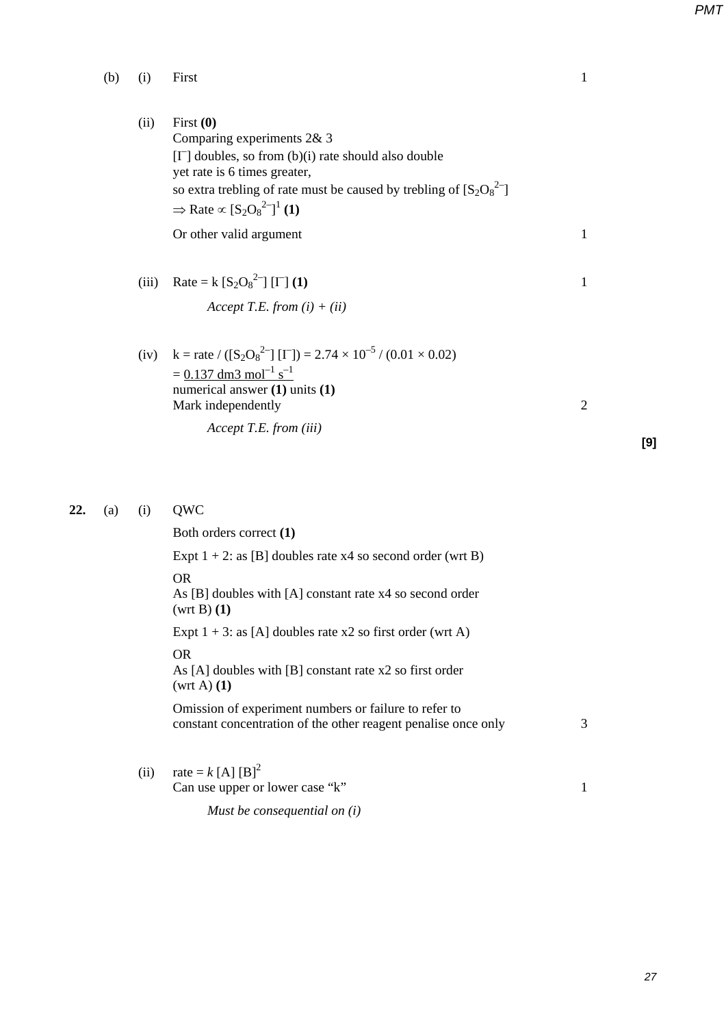- (b) (i) First  $1$ 
	- (ii) First **(0)**  Comparing experiments 2& 3 [I– ] doubles, so from (b)(i) rate should also double yet rate is 6 times greater, so extra trebling of rate must be caused by trebling of  $[S_2O_8^{2-}]$  $\Rightarrow$  Rate ∝  $[S_2O_8^2]$ <sup>1</sup> (1)

Or other valid argument 1

(iii) Rate = k 
$$
[S_2O_8^{2-}] [I^-] (1)
$$
  
Accept T.E. from (i) + (ii)

(iv)  $k = \text{rate} / ([S_2O_8^{2-}] [I^-]) = 2.74 \times 10^{-5} / (0.01 \times 0.02)$  $= 0.137$  dm3 mol<sup>-1</sup> s<sup>-1</sup> numerical answer **(1)** units **(1)**  Mark independently 2

*Accept T.E. from (iii)*

**[9]**

## **22.** (a) (i) QWC

Both orders correct **(1)** 

Expt  $1 + 2$ : as [B] doubles rate x4 so second order (wrt B) OR As [B] doubles with [A] constant rate x4 so second order (wrt B) **(1)**

Expt  $1 + 3$ : as [A] doubles rate x2 so first order (wrt A)

#### OR

As [A] doubles with [B] constant rate x2 so first order (wrt A) **(1)**

Omission of experiment numbers or failure to refer to constant concentration of the other reagent penalise once only 3

(ii) rate =  $k [A] [B]^2$ Can use upper or lower case "k" 1

*Must be consequential on (i)*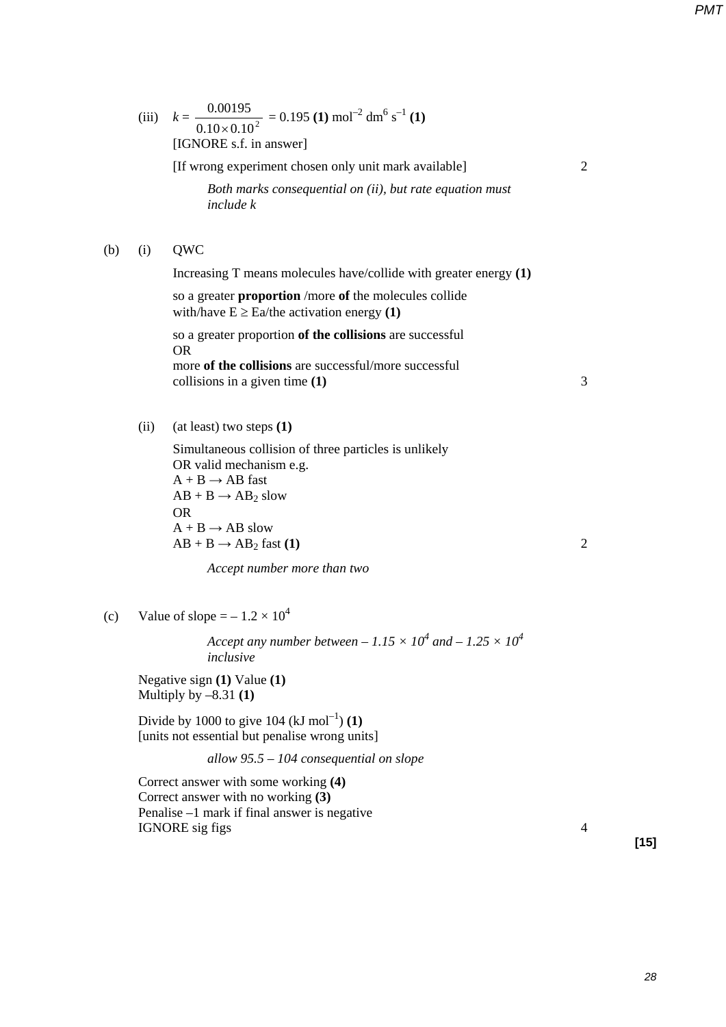|     |      | (iii) $k = \frac{0.00195}{0.10 \times 0.10^2} = 0.195$ (1) mol <sup>-2</sup> dm <sup>6</sup> s <sup>-1</sup> (1)<br>[IGNORE s.f. in answer]<br>[If wrong experiment chosen only unit mark available]<br>Both marks consequential on (ii), but rate equation must<br><i>include k</i> | 2 |
|-----|------|--------------------------------------------------------------------------------------------------------------------------------------------------------------------------------------------------------------------------------------------------------------------------------------|---|
| (b) | (i)  | QWC                                                                                                                                                                                                                                                                                  |   |
|     |      | Increasing T means molecules have/collide with greater energy $(1)$                                                                                                                                                                                                                  |   |
|     |      | so a greater <b>proportion</b> /more of the molecules collide<br>with/have $E \geq$ Ea/the activation energy (1)                                                                                                                                                                     |   |
|     |      | so a greater proportion of the collisions are successful<br><b>OR</b><br>more of the collisions are successful/more successful<br>collisions in a given time $(1)$                                                                                                                   | 3 |
|     | (ii) | $(at least)$ two steps $(1)$                                                                                                                                                                                                                                                         |   |
|     |      | Simultaneous collision of three particles is unlikely<br>OR valid mechanism e.g.<br>$A + B \rightarrow AB$ fast<br>$AB + B \rightarrow AB_2$ slow<br><b>OR</b><br>$A + B \rightarrow AB$ slow                                                                                        |   |
|     |      | $AB + B \rightarrow AB_2$ fast (1)                                                                                                                                                                                                                                                   | 2 |
|     |      | Accept number more than two                                                                                                                                                                                                                                                          |   |
| (c) |      | Value of slope $=$ $-1.2 \times 10^4$                                                                                                                                                                                                                                                |   |
|     |      | Accept any number between $-1.15 \times 10^4$ and $-1.25 \times 10^4$<br>inclusive                                                                                                                                                                                                   |   |
|     |      | Negative sign $(1)$ Value $(1)$<br>Multiply by $-8.31(1)$                                                                                                                                                                                                                            |   |
|     |      | Divide by 1000 to give 104 (kJ mol <sup>-1</sup> ) (1)<br>[units not essential but penalise wrong units]                                                                                                                                                                             |   |
|     |      | allow $95.5 - 104$ consequential on slope                                                                                                                                                                                                                                            |   |
|     |      | Correct answer with some working (4)<br>Correct answer with no working (3)<br>Penalise -1 mark if final answer is negative<br>IGNORE sig figs                                                                                                                                        | 4 |
|     |      |                                                                                                                                                                                                                                                                                      |   |

**[15]**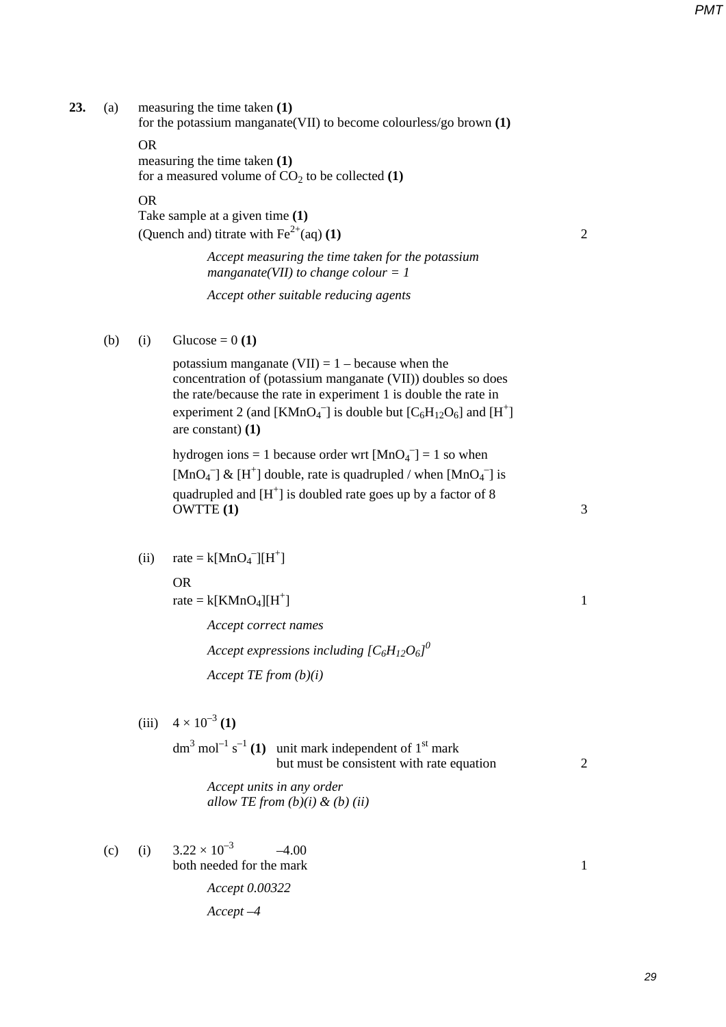**23.** (a) measuring the time taken **(1)** for the potassium manganate(VII) to become colourless/go brown **(1)** OR measuring the time taken **(1)** for a measured volume of  $CO<sub>2</sub>$  to be collected  $(1)$ OR Take sample at a given time **(1)**  (Quench and) titrate with  $\text{Fe}^{2+}(\text{aq})$  (1) 2 *Accept measuring the time taken for the potassium manganate(VII) to change colour = 1 Accept other suitable reducing agents* (b) (i) Glucose =  $0(1)$ potassium manganate  $(VII) = 1$  – because when the concentration of (potassium manganate (VII)) doubles so does the rate/because the rate in experiment 1 is double the rate in experiment 2 (and  $\text{[KMnO}_4^-$ ) is double but  $\text{[C}_6\text{H}_{12}\text{O}_6]$  and  $\text{[H}^+]$ are constant) **(1)** hydrogen ions = 1 because order wrt  $[MnO_4$ <sup>-</sup> $] = 1$  so when [MnO<sub>4</sub><sup>-</sup>] & [H<sup>+</sup>] double, rate is quadrupled / when [MnO<sub>4</sub><sup>-</sup>] is quadrupled and  $[H^+]$  is doubled rate goes up by a factor of 8 OWTTE **(1)** 3 (ii)  $\text{rate} = k[\text{MnO}_4^-][\text{H}^+]$ OR rate =  $k$ [KMnO<sub>4</sub>][H<sup>+</sup>]  $\vert$  1 *Accept correct names Accept expressions including [C6H12O6] 0 Accept TE from (b)(i)*  $(iii)$   $4 \times 10^{-3}$  (1)  $dm<sup>3</sup>$  mol<sup>-1</sup> s<sup>-1</sup> (1) unit mark independent of 1<sup>st</sup> mark but must be consistent with rate equation 2 *Accept units in any order allow TE from (b)(i) & (b) (ii)* (c) (i)  $3.22 \times 10^{-3}$  -4.00 both needed for the mark 1 *Accept 0.00322 Accept –4*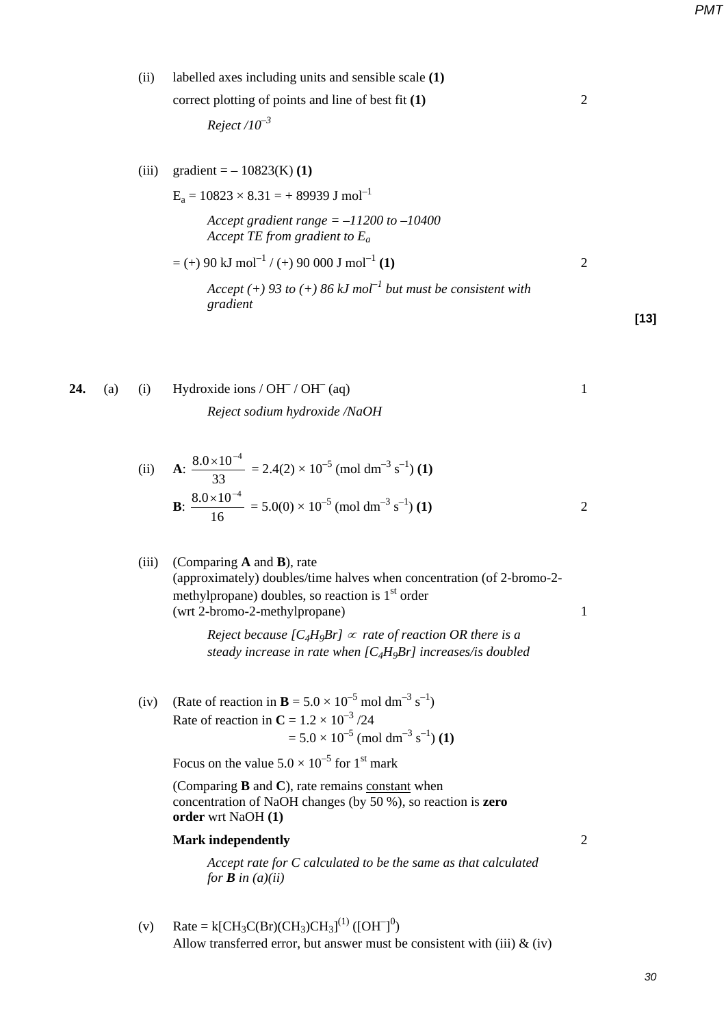(ii) labelled axes including units and sensible scale **(1)** correct plotting of points and line of best fit **(1)** 2

*Reject /10–3* 

(iii) gradient =  $-10823(K)$  (1)

$$
E_a = 10823 \times 8.31 = +89939 \text{ J mol}^{-1}
$$
  
Accept gradient range = -11200 to -10400  
Accept TE from gradient to  $E_a$   
= (+) 90 kJ mol<sup>-1</sup> / (+) 90 000 J mol<sup>-1</sup> (1)  
Accept (+) 93 to (+) 86 kJ mol<sup>-1</sup> but must be consistent with  
gradient

**[13]**

|  | <b>24.</b> (a) (i) Hydroxide ions / OH <sup>-</sup> / OH <sup>-</sup> (aq) |  |
|--|----------------------------------------------------------------------------|--|
|  |                                                                            |  |

*Reject sodium hydroxide /NaOH*

(ii) **A:** 
$$
\frac{8.0 \times 10^{-4}}{33} = 2.4(2) \times 10^{-5} \text{ (mol dm}^{-3} \text{ s}^{-1}) (1)
$$
  
**B:** 
$$
\frac{8.0 \times 10^{-4}}{16} = 5.0(0) \times 10^{-5} \text{ (mol dm}^{-3} \text{ s}^{-1}) (1)
$$

(iii) (Comparing **A** and **B**), rate (approximately) doubles/time halves when concentration (of 2-bromo-2 methylpropane) doubles, so reaction is  $1<sup>st</sup>$  order (wrt 2-bromo-2-methylpropane) 1

> *Reject because [C<sub>4</sub>H<sub>9</sub>Br]*  $\propto$  *rate of reaction OR there is a steady increase in rate when [C4H9Br] increases/is doubled*

(iv) (Rate of reaction in  $\mathbf{B} = 5.0 \times 10^{-5}$  mol dm<sup>-3</sup> s<sup>-1</sup>) Rate of reaction in  $C = 1.2 \times 10^{-3}$  /24  $= 5.0 \times 10^{-5}$  (mol dm<sup>-3</sup> s<sup>-1</sup>) **(1)** 

Focus on the value  $5.0 \times 10^{-5}$  for 1<sup>st</sup> mark

(Comparing **B** and **C**), rate remains constant when concentration of NaOH changes (by 50 %), so reaction is **zero order** wrt NaOH **(1)** 

## **Mark independently** 2

*Accept rate for C calculated to be the same as that calculated for B in (a)(ii)*

(v) Rate = k[CH<sub>3</sub>C(Br)(CH<sub>3</sub>)CH<sub>3</sub>]<sup>(1)</sup> ([OH<sup>-</sup>]<sup>0</sup>) Allow transferred error, but answer must be consistent with (iii)  $\&$  (iv)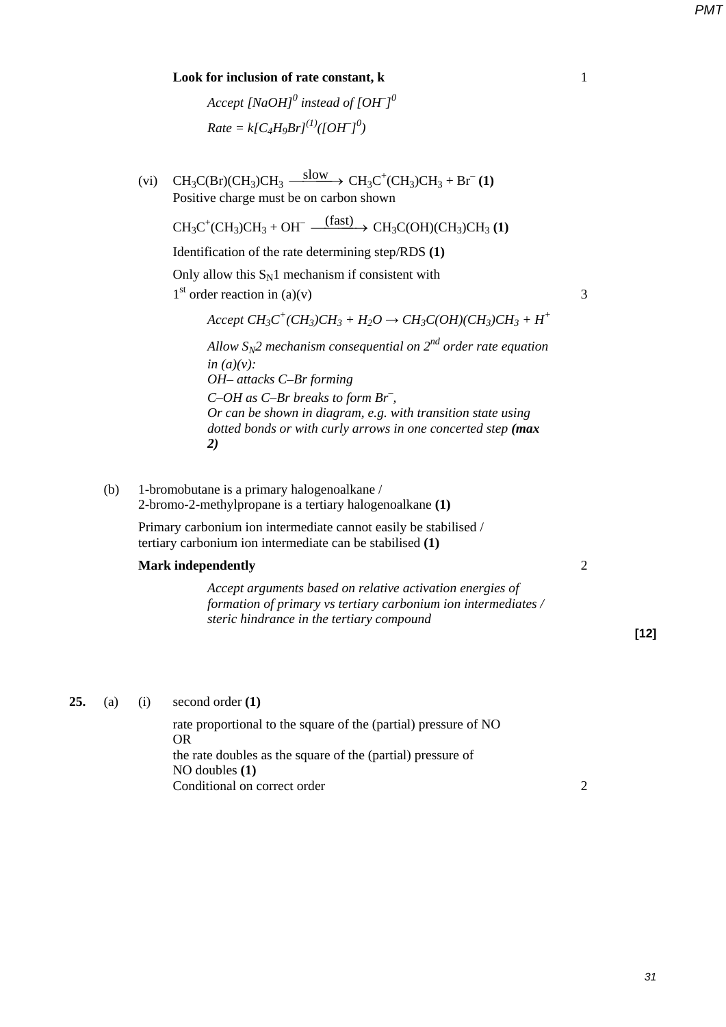## **Look for inclusion of rate constant, k** 1

*Accept [NaOH]<sup>0</sup> instead of [OH– ] 0*  $Rate = k[C_4H_9Br]^{(1)}([OH^-]^{0})$ 

(vi)  $CH_3C(Br)(CH_3)CH_3 \xrightarrow{slow} CH_3C^+(CH_3)CH_3 + Br^-(1)$ Positive charge must be on carbon shown

 $CH_3C^+(CH_3)CH_3 + OH^ \xrightarrow{\text{(fast)}}$   $CH_3C(OH)(CH_3)CH_3 (1)$ 

Identification of the rate determining step/RDS **(1)** 

Only allow this  $S_N1$  mechanism if consistent with

 $1<sup>st</sup>$  order reaction in (a)(v) 3

 $Accept CH_3C^+(CH_3)CH_3 + H_2O \rightarrow CH_3C(OH)(CH_3)CH_3 + H^+$ 

Allow  $S_N$ <sup>2</sup> mechanism consequential on  $2^{nd}$  order rate equation *in (a)(v): OH– attacks C–Br forming C–OH as C–Br breaks to form Br– , Or can be shown in diagram, e.g. with transition state using dotted bonds or with curly arrows in one concerted step (max 2)*

(b) 1-bromobutane is a primary halogenoalkane / 2-bromo-2-methylpropane is a tertiary halogenoalkane **(1)** 

Primary carbonium ion intermediate cannot easily be stabilised / tertiary carbonium ion intermediate can be stabilised **(1)**

### **Mark independently** 2

*Accept arguments based on relative activation energies of formation of primary vs tertiary carbonium ion intermediates / steric hindrance in the tertiary compound*

**[12]**

### **25.** (a) (i) second order **(1)**

rate proportional to the square of the (partial) pressure of NO OR the rate doubles as the square of the (partial) pressure of NO doubles **(1)** Conditional on correct order 2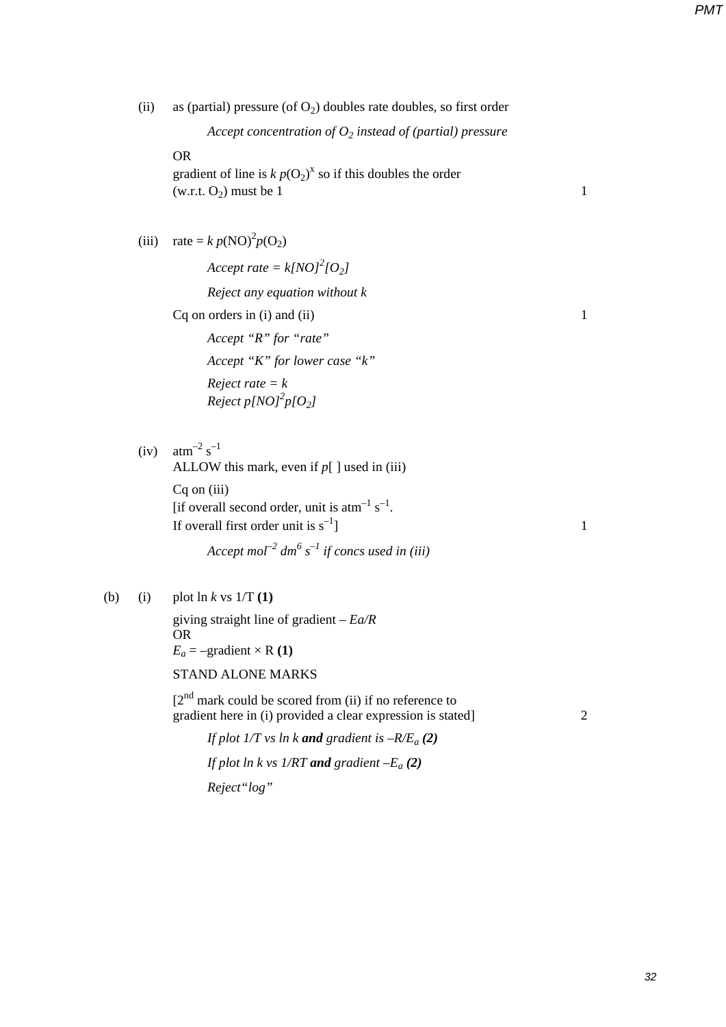(ii) as (partial) pressure (of  $O_2$ ) doubles rate doubles, so first order

*Accept concentration of O<sub>2</sub> instead of (partial) pressure* 

# OR

gradient of line is  $k p(O_2)^x$  so if this doubles the order  $(w.r.t. O<sub>2</sub>)$  must be 1

(iii) rate =  $k p(NO)^2 p(O_2)$ 

*Accept rate =*  $k[NO]^2[O_2]$ 

*Reject any equation without k*

 $Ca$  on orders in (i) and (ii)  $1$ 

```
Accept "R" for "rate"
Accept "K" for lower case "k"
Reject rate = k
Reject p[NO]2
p[O2]
```
(iv)  $atm^{-2} s^{-1}$ ALLOW this mark, even if *p*[ ] used in (iii)

> Cq on (iii) [if overall second order, unit is  $atm^{-1} s^{-1}$ . If overall first order unit is  $s^{-1}$ ] 1

*Accept mol–2 dm6 s –1 if concs used in (iii)*

(b) (i) plot ln *k* vs 1/T **(1)** 

giving straight line of gradient – *Ea/R* OR  $E_a$  = –gradient × **R** (1)

STAND ALONE MARKS

 $[2^{nd}$  mark could be scored from (ii) if no reference to gradient here in (i) provided a clear expression is stated] 2

*If plot 1/T vs ln k and gradient is*  $-R/E_a(2)$ 

*If plot ln k vs 1/RT and gradient*  $-E_a(2)$ 

*Reject"log"*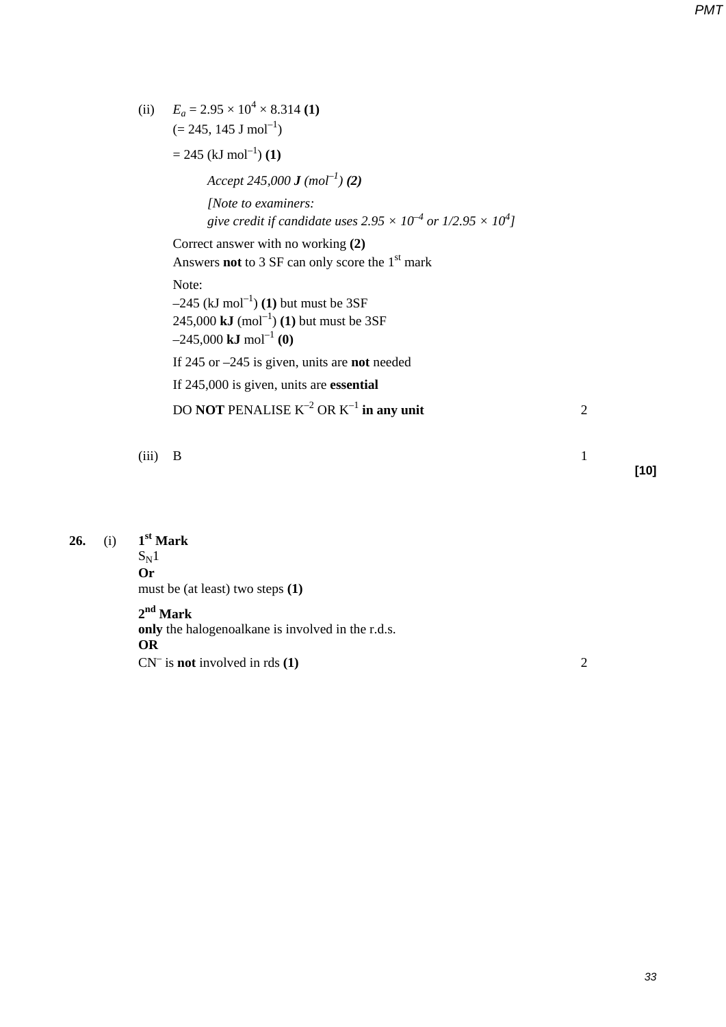|       | (ii) $E_a = 2.95 \times 10^4 \times 8.314$ (1)<br>$(= 245, 145 \text{ J mol}^{-1})$                                                                              |                |      |
|-------|------------------------------------------------------------------------------------------------------------------------------------------------------------------|----------------|------|
|       | $= 245$ (kJ mol <sup>-1</sup> ) (1)                                                                                                                              |                |      |
|       | Accept 245,000 <b>J</b> (mol <sup>-1</sup> ) (2)                                                                                                                 |                |      |
|       | [Note to examiners:<br>give credit if candidate uses $2.95 \times 10^{-4}$ or $1/2.95 \times 10^{4}$ ]                                                           |                |      |
|       | Correct answer with no working (2)<br>Answers <b>not</b> to 3 SF can only score the $1st$ mark                                                                   |                |      |
|       | Note:<br>$-245$ (kJ mol <sup>-1</sup> ) (1) but must be 3SF<br>245,000 kJ (mol <sup>-1</sup> ) (1) but must be 3SF<br>$-245,000 \text{ kJ} \text{ mol}^{-1}$ (0) |                |      |
|       | If 245 or $-245$ is given, units are <b>not</b> needed                                                                                                           |                |      |
|       | If 245,000 is given, units are essential                                                                                                                         |                |      |
|       | DO NOT PENALISE $K^{-2}$ OR $K^{-1}$ in any unit                                                                                                                 | $\overline{2}$ |      |
| (iii) | B                                                                                                                                                                | 1              | [10] |
|       |                                                                                                                                                                  |                |      |

| $26.$ (i) | $1^{\rm st}$ Mark |  |
|-----------|-------------------|--|
|           | $S_N1$            |  |
|           | Λ.                |  |

**Or** must be (at least) two steps **(1)**

**2nd Mark**

**only** the halogenoalkane is involved in the r.d.s. **OR** CN– is **not** involved in rds **(1)** 2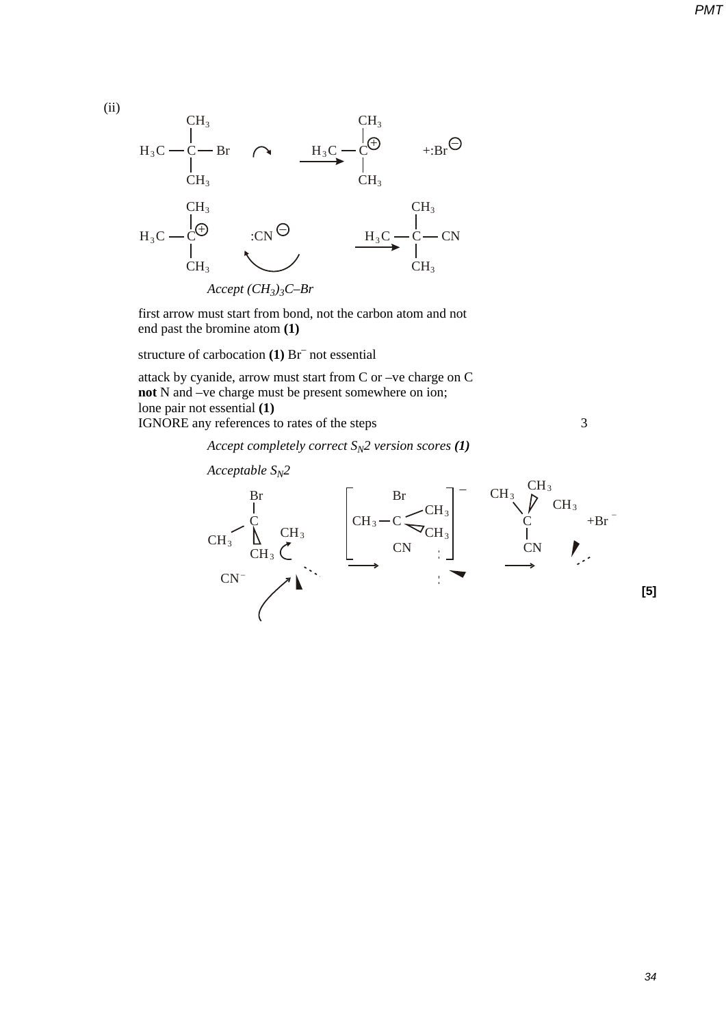

first arrow must start from bond, not the carbon atom and not end past the bromine atom **(1)** 

structure of carbocation **(1)** Br– not essential

attack by cyanide, arrow must start from C or –ve charge on C **not** N and –ve charge must be present somewhere on ion; lone pair not essential **(1)**  IGNORE any references to rates of the steps 3

*Accept completely correct*  $S_N$ 2 version scores (1)





*34*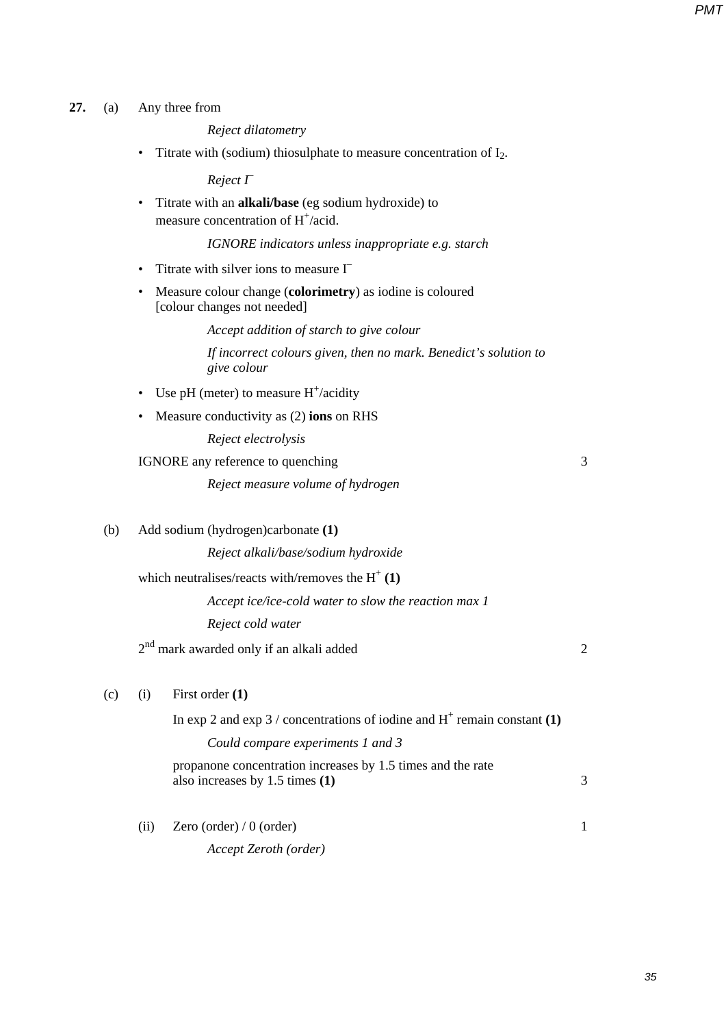# **27.** (a) Any three from

*Reject dilatometry*

• Titrate with (sodium) thiosulphate to measure concentration of  $I_2$ .

*Reject I–*

• Titrate with an **alkali/base** (eg sodium hydroxide) to measure concentration of H<sup>+</sup>/acid.

*IGNORE indicators unless inappropriate e.g. starch*

- Titrate with silver ions to measure  $\Gamma$
- Measure colour change (**colorimetry**) as iodine is coloured [colour changes not needed]

*Accept addition of starch to give colour*

*If incorrect colours given, then no mark. Benedict's solution to give colour*

- Use pH (meter) to measure  $H^+$ /acidity
- Measure conductivity as (2) **ions** on RHS

*Reject electrolysis*

## IGNORE any reference to quenching 3

*Reject measure volume of hydrogen*

(b) Add sodium (hydrogen)carbonate **(1)** 

*Reject alkali/base/sodium hydroxide*

which neutralises/reacts with/removes the  $H^+(1)$ 

*Accept ice/ice-cold water to slow the reaction max 1 Reject cold water*

 $2<sup>nd</sup>$  mark awarded only if an alkali added 2

(c) (i) First order **(1)**

In exp 2 and exp 3 / concentrations of iodine and  $H^+$  remain constant **(1)** 

### *Could compare experiments 1 and 3*

propanone concentration increases by 1.5 times and the rate also increases by 1.5 times **(1)** 3

(ii) Zero (order)  $/ 0$  (order) 1

*Accept Zeroth (order)*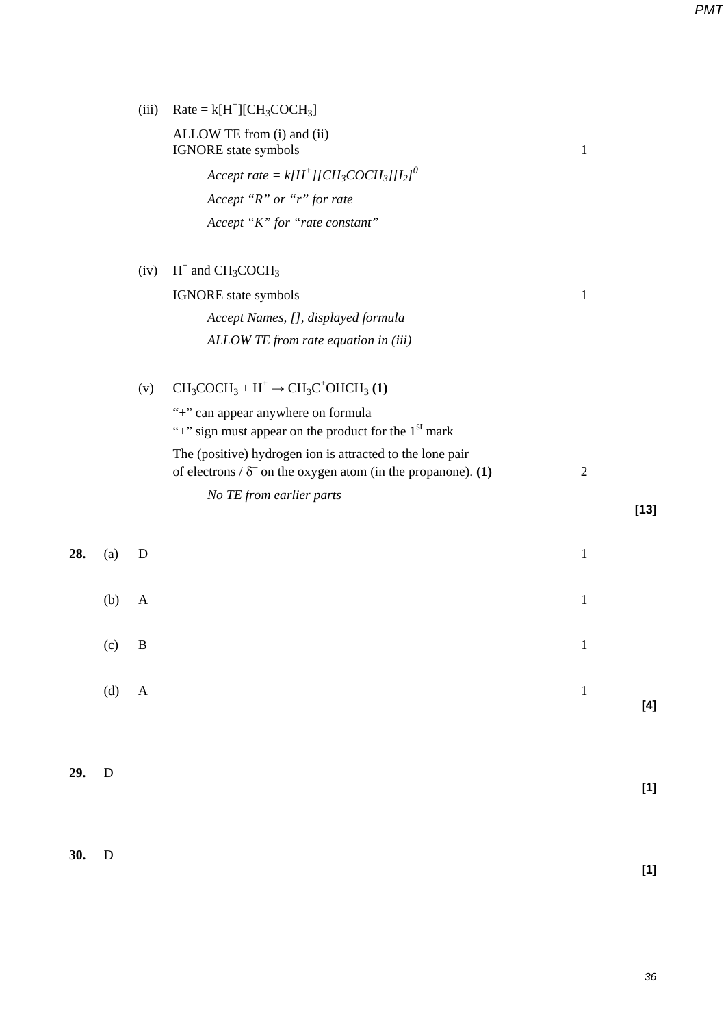|  | (iii) Rate = $k[H^*][CH_3COCH_3]$ |
|--|-----------------------------------|
|--|-----------------------------------|

|     |             |              | ALLOW TE from (i) and (ii)<br>IGNORE state symbols                                                                                           | $\mathbf{1}$ |                                                                                                                                                                                                                       |
|-----|-------------|--------------|----------------------------------------------------------------------------------------------------------------------------------------------|--------------|-----------------------------------------------------------------------------------------------------------------------------------------------------------------------------------------------------------------------|
|     |             |              | Accept rate = $k[H^+] [CH_3COCH_3][I_2]^0$                                                                                                   |              |                                                                                                                                                                                                                       |
|     |             |              | Accept "R" or "r" for rate                                                                                                                   |              |                                                                                                                                                                                                                       |
|     |             |              | Accept "K" for "rate constant"                                                                                                               |              |                                                                                                                                                                                                                       |
|     |             | (iv)         | $H^+$ and $CH_3COCH_3$                                                                                                                       |              |                                                                                                                                                                                                                       |
|     |             |              | IGNORE state symbols                                                                                                                         | $\mathbf{1}$ |                                                                                                                                                                                                                       |
|     |             |              | Accept Names, [], displayed formula                                                                                                          |              |                                                                                                                                                                                                                       |
|     |             |              | ALLOW TE from rate equation in (iii)                                                                                                         |              |                                                                                                                                                                                                                       |
|     |             | (v)          | $CH_3COCH_3 + H^+ \rightarrow CH_3C^+OHCH_3(1)$                                                                                              |              |                                                                                                                                                                                                                       |
|     |             |              | "+" can appear anywhere on formula<br>"+" sign must appear on the product for the $1st$ mark                                                 |              |                                                                                                                                                                                                                       |
|     |             |              | The (positive) hydrogen ion is attracted to the lone pair<br>of electrons / $\delta$ <sup>-</sup> on the oxygen atom (in the propanone). (1) | $\sqrt{2}$   |                                                                                                                                                                                                                       |
|     |             |              | No TE from earlier parts                                                                                                                     |              | $[13]$                                                                                                                                                                                                                |
| 28. | (a)         | $\mathbf D$  |                                                                                                                                              | $\mathbf 1$  |                                                                                                                                                                                                                       |
|     | (b)         | $\mathbf{A}$ |                                                                                                                                              | $\mathbf{1}$ |                                                                                                                                                                                                                       |
|     | (c)         | B            |                                                                                                                                              | $\mathbf{1}$ |                                                                                                                                                                                                                       |
|     | (d)         | $\mathbf{A}$ |                                                                                                                                              | $\mathbf{1}$ | $[4] % \includegraphics[width=\textwidth]{images/TransY.pdf} \caption{The figure shows the results of the estimators in the figure. The figure shows the results of the estimators in the figure.} \label{fig:class}$ |
|     |             |              |                                                                                                                                              |              |                                                                                                                                                                                                                       |
| 29. | D           |              |                                                                                                                                              |              | $[1]$                                                                                                                                                                                                                 |
|     |             |              |                                                                                                                                              |              |                                                                                                                                                                                                                       |
| 30. | $\mathbf D$ |              |                                                                                                                                              |              | $[1]$                                                                                                                                                                                                                 |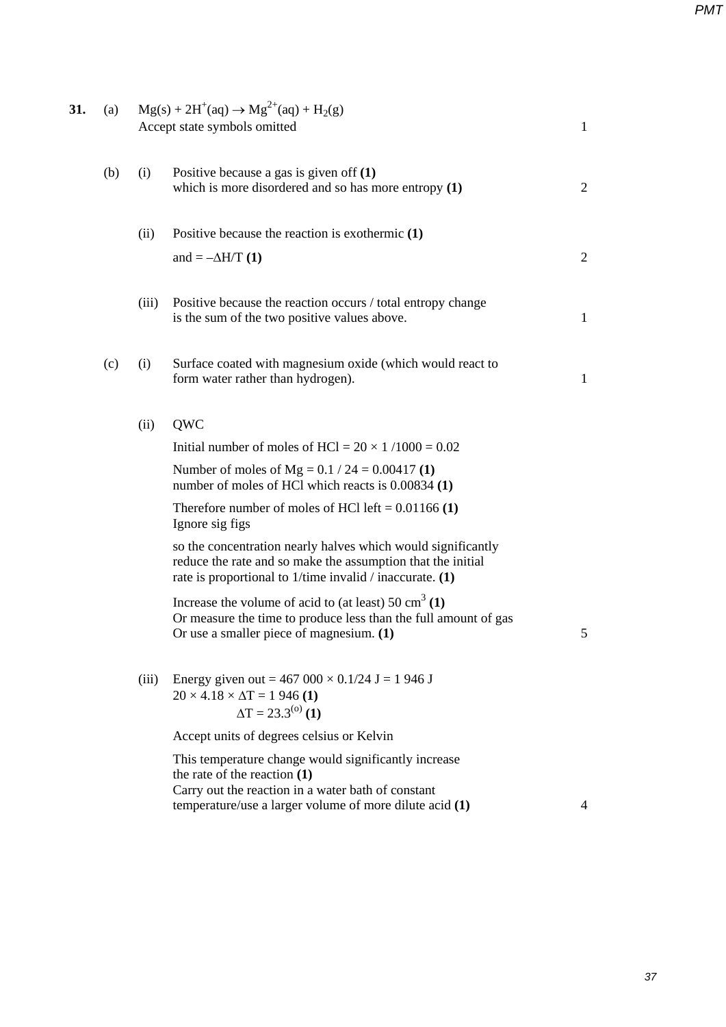**31.** (a)  $Mg(s) + 2H^+(aq) \rightarrow Mg^{2+}(aq) + H_2(g)$ Accept state symbols omitted 1 (b) (i) Positive because a gas is given off **(1)**  which is more disordered and so has more entropy **(1)** 2 (ii) Positive because the reaction is exothermic **(1)**  and  $= -\Delta H/T (1)$  2 (iii) Positive because the reaction occurs / total entropy change is the sum of the two positive values above. 1 (c) (i) Surface coated with magnesium oxide (which would react to form water rather than hydrogen). 1 (ii) QWC Initial number of moles of HCl =  $20 \times 1/1000 = 0.02$ Number of moles of Mg = 0.1 / 24 = 0.00417 **(1)**  number of moles of HCl which reacts is 0.00834 **(1)** Therefore number of moles of HCl left  $= 0.01166$  (1) Ignore sig figs so the concentration nearly halves which would significantly reduce the rate and so make the assumption that the initial rate is proportional to 1/time invalid / inaccurate. **(1)** Increase the volume of acid to (at least)  $50 \text{ cm}^3$  (1) Or measure the time to produce less than the full amount of gas Or use a smaller piece of magnesium. **(1)** 5 (iii) Energy given out =  $467\,000 \times 0.1/24$  J = 1 946 J  $20 \times 4.18 \times \Delta T = 1946$  **(1)**  $\Delta T = 23.3^{(0)}$  (1) Accept units of degrees celsius or Kelvin This temperature change would significantly increase the rate of the reaction **(1)**  Carry out the reaction in a water bath of constant temperature/use a larger volume of more dilute acid **(1)** 4

*PMT*